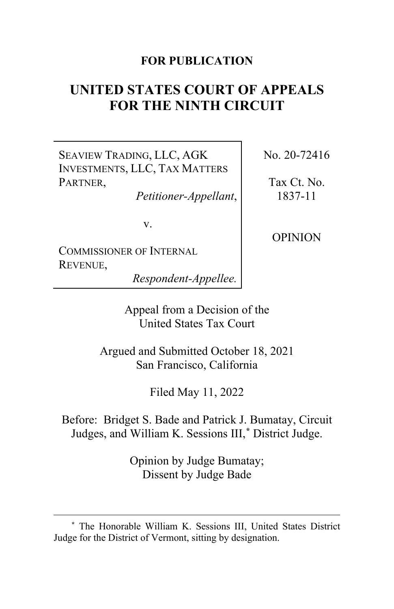## **FOR PUBLICATION**

# **UNITED STATES COURT OF APPEALS FOR THE NINTH CIRCUIT**

SEAVIEW TRADING, LLC, AGK INVESTMENTS, LLC, TAX MATTERS PARTNER,

*Petitioner-Appellant*,

v.

COMMISSIONER OF INTERNAL REVENUE,

*Respondent-Appellee.*

Appeal from a Decision of the United States Tax Court

Argued and Submitted October 18, 2021 San Francisco, California

Filed May 11, 2022

Before: Bridget S. Bade and Patrick J. Bumatay, Circuit Judges, and William K. Sessions III,**[\\*](#page-0-0)** District Judge.

> Opinion by Judge Bumatay; Dissent by Judge Bade

No. 20-72416

Tax Ct. No. 1837-11

OPINION

<span id="page-0-0"></span>**<sup>\*</sup>** The Honorable William K. Sessions III, United States District Judge for the District of Vermont, sitting by designation.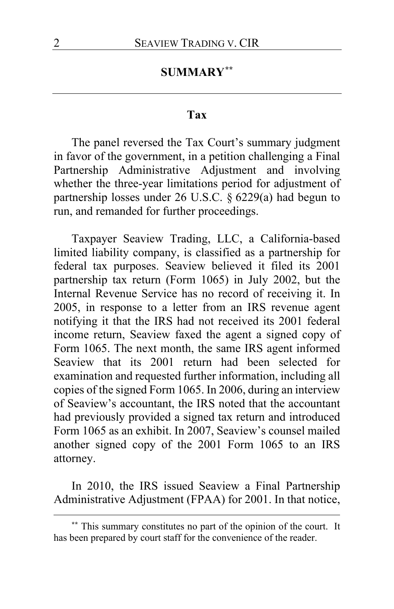# **SUMMARY[\\*\\*](#page-1-0)**

## **Tax**

The panel reversed the Tax Court's summary judgment in favor of the government, in a petition challenging a Final Partnership Administrative Adjustment and involving whether the three-year limitations period for adjustment of partnership losses under 26 U.S.C. § 6229(a) had begun to run, and remanded for further proceedings.

Taxpayer Seaview Trading, LLC, a California-based limited liability company, is classified as a partnership for federal tax purposes. Seaview believed it filed its 2001 partnership tax return (Form 1065) in July 2002, but the Internal Revenue Service has no record of receiving it. In 2005, in response to a letter from an IRS revenue agent notifying it that the IRS had not received its 2001 federal income return, Seaview faxed the agent a signed copy of Form 1065. The next month, the same IRS agent informed Seaview that its 2001 return had been selected for examination and requested further information, including all copies of the signed Form 1065. In 2006, during an interview of Seaview's accountant, the IRS noted that the accountant had previously provided a signed tax return and introduced Form 1065 as an exhibit. In 2007, Seaview's counsel mailed another signed copy of the 2001 Form 1065 to an IRS attorney.

In 2010, the IRS issued Seaview a Final Partnership Administrative Adjustment (FPAA) for 2001. In that notice,

<span id="page-1-0"></span>**<sup>\*\*</sup>** This summary constitutes no part of the opinion of the court. It has been prepared by court staff for the convenience of the reader.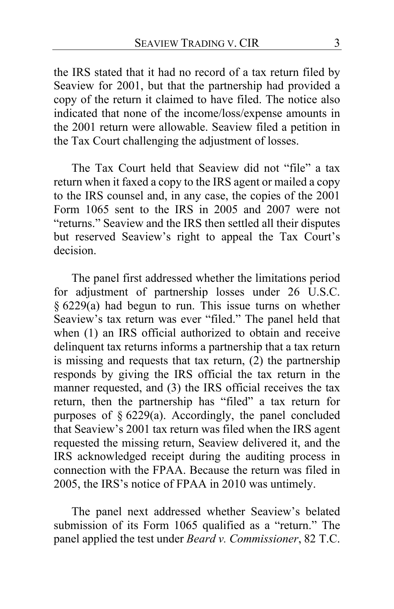the IRS stated that it had no record of a tax return filed by Seaview for 2001, but that the partnership had provided a copy of the return it claimed to have filed. The notice also indicated that none of the income/loss/expense amounts in the 2001 return were allowable. Seaview filed a petition in the Tax Court challenging the adjustment of losses.

The Tax Court held that Seaview did not "file" a tax return when it faxed a copy to the IRS agent or mailed a copy to the IRS counsel and, in any case, the copies of the 2001 Form 1065 sent to the IRS in 2005 and 2007 were not "returns." Seaview and the IRS then settled all their disputes but reserved Seaview's right to appeal the Tax Court's decision.

The panel first addressed whether the limitations period for adjustment of partnership losses under 26 U.S.C. § 6229(a) had begun to run. This issue turns on whether Seaview's tax return was ever "filed." The panel held that when (1) an IRS official authorized to obtain and receive delinquent tax returns informs a partnership that a tax return is missing and requests that tax return,  $(2)$  the partnership responds by giving the IRS official the tax return in the manner requested, and (3) the IRS official receives the tax return, then the partnership has "filed" a tax return for purposes of § 6229(a). Accordingly, the panel concluded that Seaview's 2001 tax return was filed when the IRS agent requested the missing return, Seaview delivered it, and the IRS acknowledged receipt during the auditing process in connection with the FPAA. Because the return was filed in 2005, the IRS's notice of FPAA in 2010 was untimely.

The panel next addressed whether Seaview's belated submission of its Form 1065 qualified as a "return." The panel applied the test under *Beard v. Commissioner*, 82 T.C.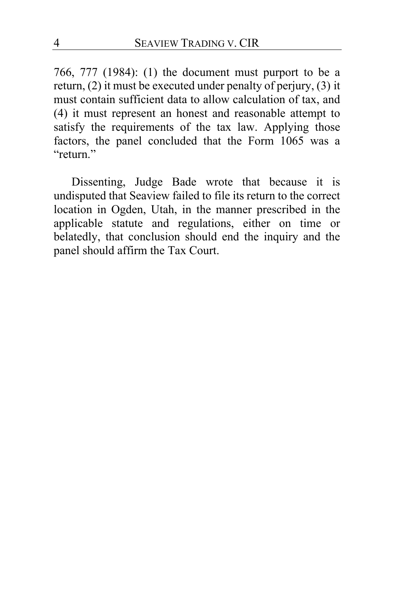766, 777 (1984): (1) the document must purport to be a return, (2) it must be executed under penalty of perjury, (3) it must contain sufficient data to allow calculation of tax, and (4) it must represent an honest and reasonable attempt to satisfy the requirements of the tax law. Applying those factors, the panel concluded that the Form 1065 was a "return."

Dissenting, Judge Bade wrote that because it is undisputed that Seaview failed to file its return to the correct location in Ogden, Utah, in the manner prescribed in the applicable statute and regulations, either on time or belatedly, that conclusion should end the inquiry and the panel should affirm the Tax Court.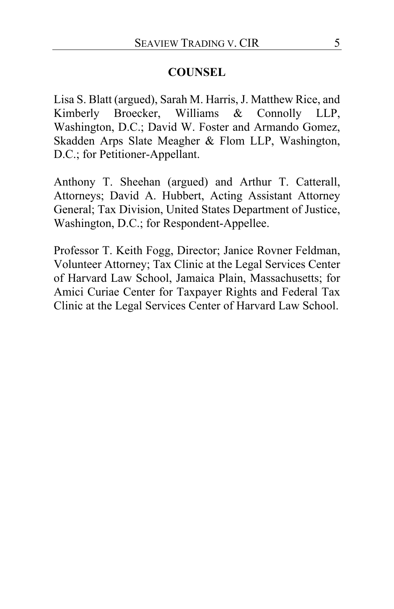## **COUNSEL**

Lisa S. Blatt (argued), Sarah M. Harris, J. Matthew Rice, and Kimberly Broecker, Williams & Connolly LLP, Washington, D.C.; David W. Foster and Armando Gomez, Skadden Arps Slate Meagher & Flom LLP, Washington, D.C.; for Petitioner-Appellant.

Anthony T. Sheehan (argued) and Arthur T. Catterall, Attorneys; David A. Hubbert, Acting Assistant Attorney General; Tax Division, United States Department of Justice, Washington, D.C.; for Respondent-Appellee.

Professor T. Keith Fogg, Director; Janice Rovner Feldman, Volunteer Attorney; Tax Clinic at the Legal Services Center of Harvard Law School, Jamaica Plain, Massachusetts; for Amici Curiae Center for Taxpayer Rights and Federal Tax Clinic at the Legal Services Center of Harvard Law School.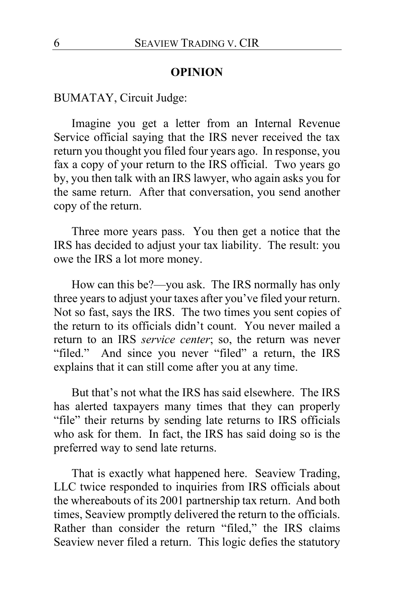#### **OPINION**

BUMATAY, Circuit Judge:

<span id="page-5-1"></span>Imagine you get a letter from an Internal Revenue Service official saying that the IRS never received the tax return you thought you filed four years ago. In response, you fax a copy of your return to the IRS official. Two years go by, you then talk with an IRS lawyer, who again asks you for the same return. After that conversation, you send another copy of the return.

Three more years pass. You then get a notice that the IRS has decided to adjust your tax liability. The result: you owe the IRS a lot more money.

How can this be?—you ask. The IRS normally has only three years to adjust your taxes after you've filed your return. Not so fast, says the IRS. The two times you sent copies of the return to its officials didn't count. You never mailed a return to an IRS *service center*; so, the return was never "filed." And since you never "filed" a return, the IRS explains that it can still come after you at any time.

But that's not what the IRS has said elsewhere. The IRS has alerted taxpayers many times that they can properly "file" their returns by sending late returns to IRS officials who ask for them. In fact, the IRS has said doing so is the preferred way to send late returns.

<span id="page-5-0"></span>That is exactly what happened here. Seaview Trading, LLC twice responded to inquiries from IRS officials about the whereabouts of its 2001 partnership tax return. And both times, Seaview promptly delivered the return to the officials. Rather than consider the return "filed," the IRS claims Seaview never filed a return. This logic defies the statutory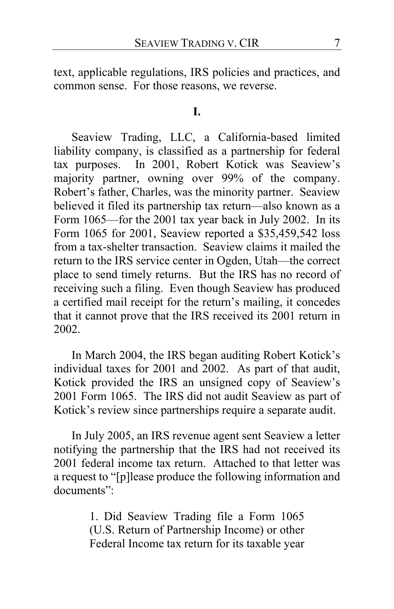<span id="page-6-0"></span>text, applicable regulations, IRS policies and practices, and common sense. For those reasons, we reverse.

#### <span id="page-6-2"></span>**I.**

<span id="page-6-1"></span>Seaview Trading, LLC, a California-based limited liability company, is classified as a partnership for federal tax purposes. In 2001, Robert Kotick was Seaview's majority partner, owning over 99% of the company. Robert's father, Charles, was the minority partner. Seaview believed it filed its partnership tax return—also known as a Form 1065—for the 2001 tax year back in July 2002. In its Form 1065 for 2001, Seaview reported a \$35,459,542 loss from a tax-shelter transaction. Seaview claims it mailed the return to the IRS service center in Ogden, Utah—the correct place to send timely returns. But the IRS has no record of receiving such a filing. Even though Seaview has produced a certified mail receipt for the return's mailing, it concedes that it cannot prove that the IRS received its 2001 return in 2002.

In March 2004, the IRS began auditing Robert Kotick's individual taxes for 2001 and 2002. As part of that audit, Kotick provided the IRS an unsigned copy of Seaview's 2001 Form 1065. The IRS did not audit Seaview as part of Kotick's review since partnerships require a separate audit.

In July 2005, an IRS revenue agent sent Seaview a letter notifying the partnership that the IRS had not received its 2001 federal income tax return. Attached to that letter was a request to "[p]lease produce the following information and documents":

> 1. Did Seaview Trading file a Form 1065 (U.S. Return of Partnership Income) or other Federal Income tax return for its taxable year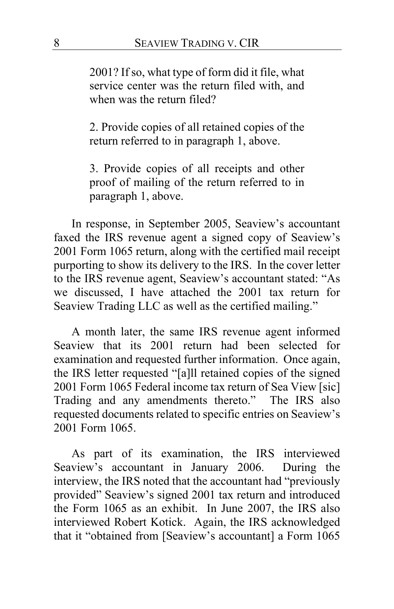2001? If so, what type of form did it file, what service center was the return filed with, and when was the return filed?

2. Provide copies of all retained copies of the return referred to in paragraph 1, above.

3. Provide copies of all receipts and other proof of mailing of the return referred to in paragraph 1, above.

In response, in September 2005, Seaview's accountant faxed the IRS revenue agent a signed copy of Seaview's 2001 Form 1065 return, along with the certified mail receipt purporting to show its delivery to the IRS. In the cover letter to the IRS revenue agent, Seaview's accountant stated: "As we discussed, I have attached the 2001 tax return for Seaview Trading LLC as well as the certified mailing."

A month later, the same IRS revenue agent informed Seaview that its 2001 return had been selected for examination and requested further information. Once again, the IRS letter requested "[a]ll retained copies of the signed 2001 Form 1065 Federal income tax return of Sea View [sic] Trading and any amendments thereto." The IRS also requested documents related to specific entries on Seaview's 2001 Form 1065.

As part of its examination, the IRS interviewed Seaview's accountant in January 2006.During the interview, the IRS noted that the accountant had "previously provided" Seaview's signed 2001 tax return and introduced the Form 1065 as an exhibit. In June 2007, the IRS also interviewed Robert Kotick. Again, the IRS acknowledged that it "obtained from [Seaview's accountant] a Form 1065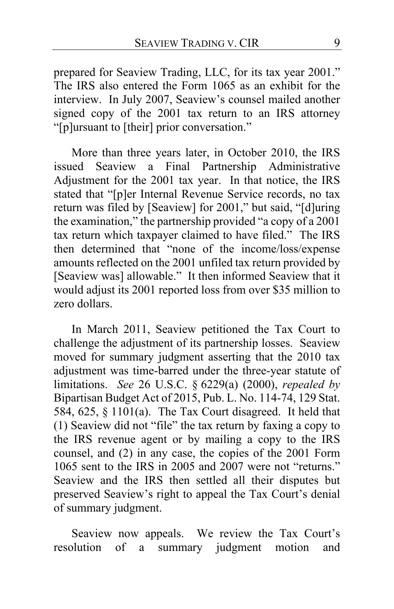prepared for Seaview Trading, LLC, for its tax year 2001." The IRS also entered the Form 1065 as an exhibit for the interview. In July 2007, Seaview's counsel mailed another signed copy of the 2001 tax return to an IRS attorney "[p]ursuant to [their] prior conversation."

More than three years later, in October 2010, the IRS issued Seaview a Final Partnership Administrative Adjustment for the 2001 tax year. In that notice, the IRS stated that "[p]er Internal Revenue Service records, no tax return was filed by [Seaview] for 2001," but said, "[d]uring the examination," the partnership provided "a copy of a 2001 tax return which taxpayer claimed to have filed." The IRS then determined that "none of the income/loss/expense amounts reflected on the 2001 unfiled tax return provided by [Seaview was] allowable." It then informed Seaview that it would adjust its 2001 reported loss from over \$35 million to zero dollars.

<span id="page-8-0"></span>In March 2011, Seaview petitioned the Tax Court to challenge the adjustment of its partnership losses. Seaview moved for summary judgment asserting that the 2010 tax adjustment was time-barred under the three-year statute of limitations. *See* 26 U.S.C. § 6229(a) (2000), *repealed by*  Bipartisan Budget Act of 2015, Pub. L. No. 114-74, 129 Stat. 584, 625, § 1101(a). The Tax Court disagreed.It held that (1) Seaview did not "file" the tax return by faxing a copy to the IRS revenue agent or by mailing a copy to the IRS counsel, and (2) in any case, the copies of the 2001 Form 1065 sent to the IRS in 2005 and 2007 were not "returns." Seaview and the IRS then settled all their disputes but preserved Seaview's right to appeal the Tax Court's denial of summary judgment.

Seaview now appeals. We review the Tax Court's resolution of a summary judgment motion and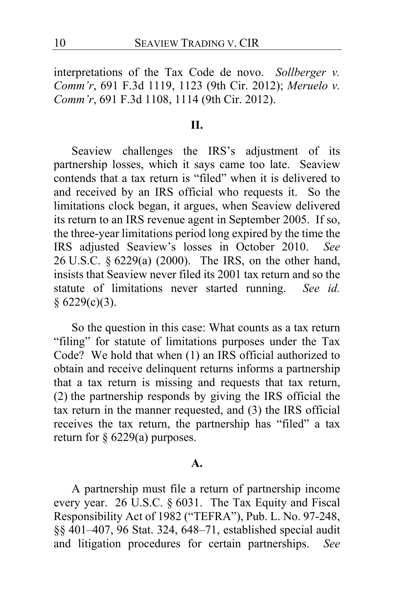interpretations of the Tax Code de novo. *Sollberger v. Comm'r*, 691 F.3d 1119, 1123 (9th Cir. 2012); *Meruelo v. Comm'r*, 691 F.3d 1108, 1114 (9th Cir. 2012).

## <span id="page-9-1"></span>**II.**

Seaview challenges the IRS's adjustment of its partnership losses, which it says came too late. Seaview contends that a tax return is "filed" when it is delivered to and received by an IRS official who requests it. So the limitations clock began, it argues, when Seaview delivered its return to an IRS revenue agent in September 2005. If so, the three-year limitations period long expired by the time the IRS adjusted Seaview's losses in October 2010. *See* 26 U.S.C. § 6229(a) (2000). The IRS, on the other hand, insists that Seaview never filed its 2001 tax return and so the statute of limitations never started running. *See id.*  $§ 6229(c)(3).$ 

So the question in this case: What counts as a tax return "filing" for statute of limitations purposes under the Tax Code? We hold that when (1) an IRS official authorized to obtain and receive delinquent returns informs a partnership that a tax return is missing and requests that tax return, (2) the partnership responds by giving the IRS official the tax return in the manner requested, and (3) the IRS official receives the tax return, the partnership has "filed" a tax return for § 6229(a) purposes.

#### **A.**

<span id="page-9-0"></span>A partnership must file a return of partnership income every year. 26 U.S.C. § 6031. The Tax Equity and Fiscal Responsibility Act of 1982 ("TEFRA"), Pub. L. No. 97-248, §§ 401–407, 96 Stat. 324, 648–71, established special audit and litigation procedures for certain partnerships. *See*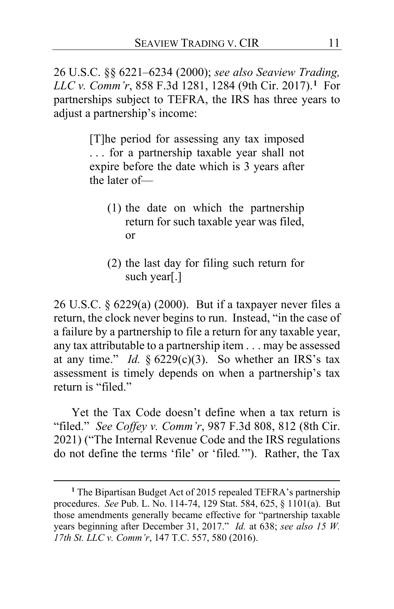26 U.S.C. §§ 6221–6234 (2000); *see also Seaview Trading, LLC v. Comm'r*, 858 F.3d 1281, 1284 (9th Cir. 2017).**[1](#page-10-0)** For partnerships subject to TEFRA, the IRS has three years to adjust a partnership's income:

> [T]he period for assessing any tax imposed . . . for a partnership taxable year shall not expire before the date which is 3 years after the later of—

- (1) the date on which the partnership return for such taxable year was filed, or
- (2) the last day for filing such return for such year[.]

26 U.S.C. § 6229(a) (2000). But if a taxpayer never files a return, the clock never begins to run. Instead, "in the case of a failure by a partnership to file a return for any taxable year, any tax attributable to a partnership item . . . may be assessed at any time." *Id.*  $\S 6229(c)(3)$ . So whether an IRS's tax assessment is timely depends on when a partnership's tax return is "filed."

<span id="page-10-1"></span>Yet the Tax Code doesn't define when a tax return is "filed." *See Coffey v. Comm'r*, 987 F.3d 808, 812 (8th Cir. 2021) ("The Internal Revenue Code and the IRS regulations do not define the terms 'file' or 'filed*.*'"). Rather, the Tax

<span id="page-10-0"></span>**<sup>1</sup>** The Bipartisan Budget Act of 2015 repealed TEFRA's partnership procedures. *See* Pub. L. No. 114-74, 129 Stat. 584, 625, § 1101(a). But those amendments generally became effective for "partnership taxable years beginning after December 31, 2017." *Id.* at 638; *see also 15 W. 17th St. LLC v. Comm'r*, 147 T.C. 557, 580 (2016).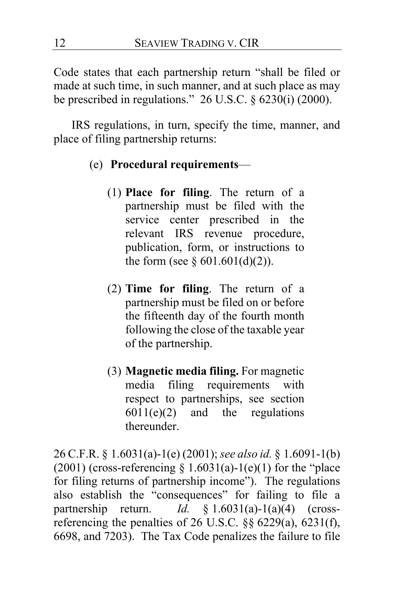Code states that each partnership return "shall be filed or made at such time, in such manner, and at such place as may be prescribed in regulations."  $26$  U.S.C.  $\S$  6230(i) (2000).

IRS regulations, in turn, specify the time, manner, and place of filing partnership returns:

- (e) **Procedural requirements**
	- (1) **Place for filing**. The return of a partnership must be filed with the service center prescribed in the relevant IRS revenue procedure, publication, form, or instructions to the form (see  $\S 601.601(d)(2)$ ).
	- (2) **Time for filing**. The return of a partnership must be filed on or before the fifteenth day of the fourth month following the close of the taxable year of the partnership.
	- (3) **Magnetic media filing.** For magnetic media filing requirements with respect to partnerships, see section  $6011(e)(2)$  and the regulations thereunder.

26 C.F.R. § 1.6031(a)-1(e) (2001); *see also id.* § 1.6091-1(b) (2001) (cross-referencing  $\S 1.6031(a)-1(e)(1)$  for the "place for filing returns of partnership income"). The regulations also establish the "consequences" for failing to file a partnership return. *Id.* § 1.6031(a)-1(a)(4) (crossreferencing the penalties of 26 U.S.C. §§ 6229(a), 6231(f), 6698, and 7203). The Tax Code penalizes the failure to file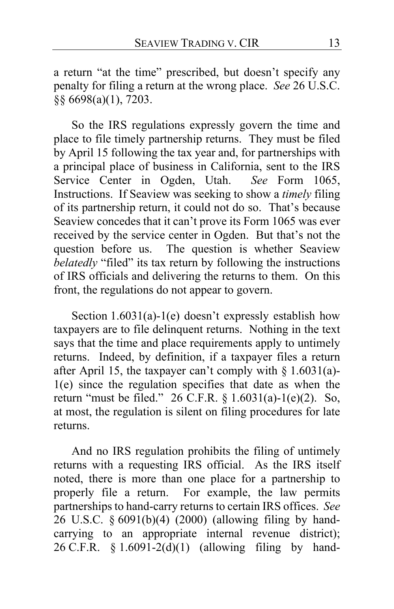a return "at the time" prescribed, but doesn't specify any penalty for filing a return at the wrong place. *See* 26 U.S.C. §§ 6698(a)(1), 7203.

<span id="page-12-5"></span><span id="page-12-2"></span><span id="page-12-1"></span><span id="page-12-0"></span>So the IRS regulations expressly govern the time and place to file timely partnership returns. They must be filed by April 15 following the tax year and, for partnerships with a principal place of business in California, sent to the IRS Service Center in Ogden, Utah. *See* Form 1065, Instructions. If Seaview was seeking to show a *timely* filing of its partnership return, it could not do so. That's because Seaview concedes that it can't prove its Form 1065 was ever received by the service center in Ogden. But that's not the question before us. The question is whether Seaview *belatedly* "filed" its tax return by following the instructions of IRS officials and delivering the returns to them. On this front, the regulations do not appear to govern.

<span id="page-12-6"></span><span id="page-12-3"></span>Section  $1.6031(a)$ -1(e) doesn't expressly establish how taxpayers are to file delinquent returns. Nothing in the text says that the time and place requirements apply to untimely returns. Indeed, by definition, if a taxpayer files a return after April 15, the taxpayer can't comply with § 1.6031(a)- 1(e) since the regulation specifies that date as when the return "must be filed." 26 C.F.R. § 1.6031(a)-1(e)(2). So, at most, the regulation is silent on filing procedures for late returns.

<span id="page-12-4"></span>And no IRS regulation prohibits the filing of untimely returns with a requesting IRS official. As the IRS itself noted, there is more than one place for a partnership to properly file a return. For example, the law permits partnerships to hand-carry returns to certain IRS offices. *See*  26 U.S.C. § 6091(b)(4) (2000) (allowing filing by handcarrying to an appropriate internal revenue district); 26 C.F.R. § 1.6091-2(d)(1) (allowing filing by hand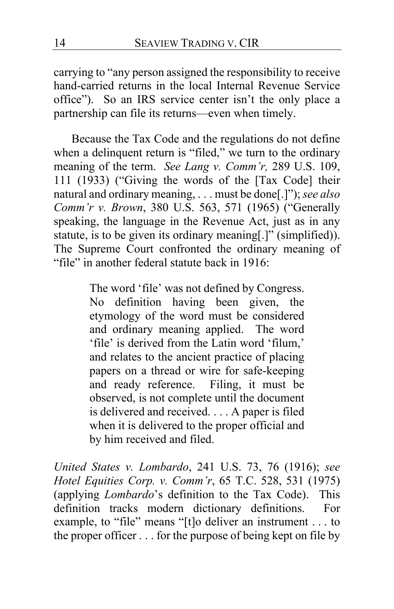carrying to "any person assigned the responsibility to receive hand-carried returns in the local Internal Revenue Service office").So an IRS service center isn't the only place a partnership can file its returns—even when timely.

Because the Tax Code and the regulations do not define when a delinquent return is "filed," we turn to the ordinary meaning of the term. *See Lang v. Comm'r,* 289 U.S. 109, 111 (1933) ("Giving the words of the [Tax Code] their natural and ordinary meaning, . . . must be done[.]"); *see also Comm'r v. Brown*, 380 U.S. 563, 571 (1965) ("Generally speaking, the language in the Revenue Act, just as in any statute, is to be given its ordinary meaning[.]" (simplified)). The Supreme Court confronted the ordinary meaning of "file" in another federal statute back in 1916:

> The word 'file' was not defined by Congress. No definition having been given, the etymology of the word must be considered and ordinary meaning applied. The word 'file' is derived from the Latin word 'filum,' and relates to the ancient practice of placing papers on a thread or wire for safe-keeping and ready reference. Filing, it must be observed, is not complete until the document is delivered and received. . . . A paper is filed when it is delivered to the proper official and by him received and filed.

*United States v. Lombardo*, 241 U.S. 73, 76 (1916); *see Hotel Equities Corp. v. Comm'r*, 65 T.C. 528, 531 (1975) (applying *Lombardo*'s definition to the Tax Code). This definition tracks modern dictionary definitions. For example, to "file" means "[t]o deliver an instrument . . . to the proper officer . . . for the purpose of being kept on file by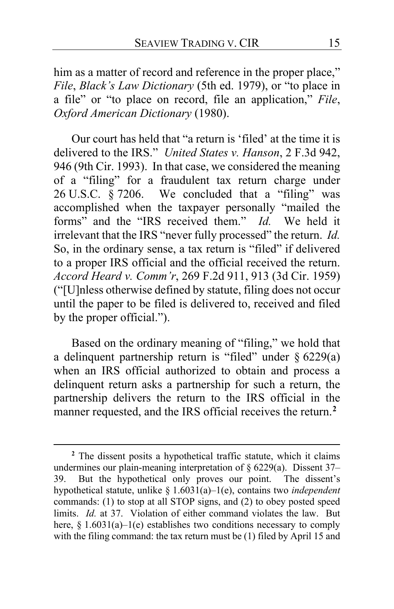him as a matter of record and reference in the proper place," *File*, *Black's Law Dictionary* (5th ed. 1979), or "to place in a file" or "to place on record, file an application," *File*, *Oxford American Dictionary* (1980).

Our court has held that "a return is 'filed' at the time it is delivered to the IRS." *United States v. Hanson*, 2 F.3d 942, 946 (9th Cir. 1993). In that case, we considered the meaning of a "filing" for a fraudulent tax return charge under 26 U.S.C.  $\frac{8}{9}$  7206. We concluded that a "filing" was accomplished when the taxpayer personally "mailed the forms" and the "IRS received them." *Id.* We held it irrelevant that the IRS "never fully processed" the return. *Id.* So, in the ordinary sense, a tax return is "filed" if delivered to a proper IRS official and the official received the return. *Accord Heard v. Comm'r*, 269 F.2d 911, 913 (3d Cir. 1959) ("[U]nless otherwise defined by statute, filing does not occur until the paper to be filed is delivered to, received and filed by the proper official.").

<span id="page-14-2"></span>Based on the ordinary meaning of "filing," we hold that a delinquent partnership return is "filed" under  $\S$  6229(a) when an IRS official authorized to obtain and process a delinquent return asks a partnership for such a return, the partnership delivers the return to the IRS official in the manner requested, and the IRS official receives the return.**[2](#page-14-0)**

<span id="page-14-1"></span><span id="page-14-0"></span>**<sup>2</sup>** The dissent posits a hypothetical traffic statute, which it claims undermines our plain-meaning interpretation of § 6229(a). Dissent [37–](#page-36-0) [39.](#page-38-0) But the hypothetical only proves our point. The dissent's hypothetical statute, unlike § 1.6031(a)–1(e), contains two *independent* commands: (1) to stop at all STOP signs, and (2) to obey posted speed limits. *Id.* at [37.](#page-36-1) Violation of either command violates the law. But here,  $§ 1.6031(a)-1(e)$  establishes two conditions necessary to comply with the filing command: the tax return must be (1) filed by April 15 and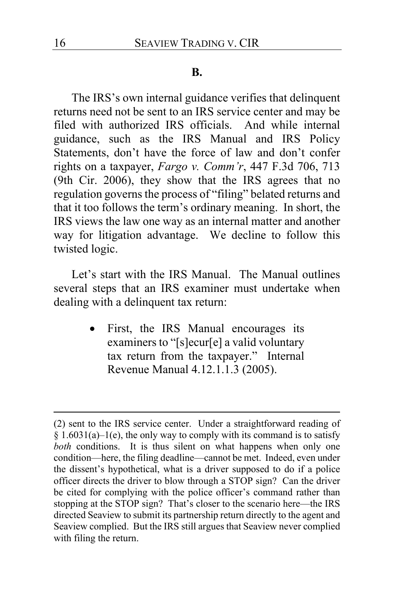#### <span id="page-15-1"></span>**B.**

<span id="page-15-0"></span>The IRS's own internal guidance verifies that delinquent returns need not be sent to an IRS service center and may be filed with authorized IRS officials. And while internal guidance, such as the IRS Manual and IRS Policy Statements, don't have the force of law and don't confer rights on a taxpayer, *Fargo v. Comm'r*, 447 F.3d 706, 713 (9th Cir. 2006), they show that the IRS agrees that no regulation governs the process of "filing" belated returns and that it too follows the term's ordinary meaning. In short, the IRS views the law one way as an internal matter and another way for litigation advantage. We decline to follow this twisted logic.

Let's start with the IRS Manual. The Manual outlines several steps that an IRS examiner must undertake when dealing with a delinquent tax return:

> First, the IRS Manual encourages its examiners to "[s]ecur[e] a valid voluntary tax return from the taxpayer." Internal Revenue Manual 4.12.1.1.3 (2005).

<sup>(2)</sup> sent to the IRS service center. Under a straightforward reading of  $§ 1.6031(a) - 1(e)$ , the only way to comply with its command is to satisfy *both* conditions. It is thus silent on what happens when only one condition—here, the filing deadline—cannot be met. Indeed, even under the dissent's hypothetical, what is a driver supposed to do if a police officer directs the driver to blow through a STOP sign? Can the driver be cited for complying with the police officer's command rather than stopping at the STOP sign? That's closer to the scenario here—the IRS directed Seaview to submit its partnership return directly to the agent and Seaview complied. But the IRS still argues that Seaview never complied with filing the return.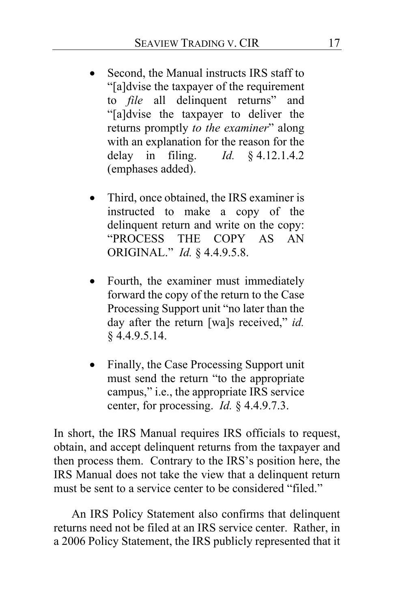- Second, the Manual instructs IRS staff to "[a]dvise the taxpayer of the requirement to *file* all delinquent returns" and "[a]dvise the taxpayer to deliver the returns promptly *to the examiner*" along with an explanation for the reason for the delay in filing. *Id.* § 4.12.1.4.2 (emphases added).
- Third, once obtained, the IRS examiner is instructed to make a copy of the delinquent return and write on the copy: "PROCESS THE COPY AS AN ORIGINAL." *Id.* § 4.4.9.5.8.
- Fourth, the examiner must immediately forward the copy of the return to the Case Processing Support unit "no later than the day after the return [wa]s received," *id.* § 4.4.9.5.14.
- Finally, the Case Processing Support unit must send the return "to the appropriate campus," i.e., the appropriate IRS service center, for processing. *Id.* § 4.4.9.7.3.

In short, the IRS Manual requires IRS officials to request, obtain, and accept delinquent returns from the taxpayer and then process them. Contrary to the IRS's position here, the IRS Manual does not take the view that a delinquent return must be sent to a service center to be considered "filed."

An IRS Policy Statement also confirms that delinquent returns need not be filed at an IRS service center. Rather, in a 2006 Policy Statement, the IRS publicly represented that it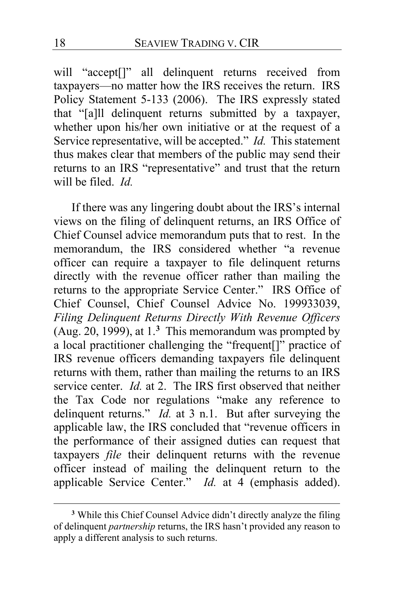will "accept[]" all delinquent returns received from taxpayers—no matter how the IRS receives the return. IRS Policy Statement 5-133 (2006). The IRS expressly stated that "[a]ll delinquent returns submitted by a taxpayer, whether upon his/her own initiative or at the request of a Service representative, will be accepted." *Id.* This statement thus makes clear that members of the public may send their returns to an IRS "representative" and trust that the return will be filed. *Id.*

If there was any lingering doubt about the IRS's internal views on the filing of delinquent returns, an IRS Office of Chief Counsel advice memorandum puts that to rest. In the memorandum, the IRS considered whether "a revenue officer can require a taxpayer to file delinquent returns directly with the revenue officer rather than mailing the returns to the appropriate Service Center." IRS Office of Chief Counsel, Chief Counsel Advice No. 199933039, *Filing Delinquent Returns Directly With Revenue Officers*  (Aug. 20, 1999), at 1.**[3](#page-17-0)** This memorandum was prompted by a local practitioner challenging the "frequent[]" practice of IRS revenue officers demanding taxpayers file delinquent returns with them, rather than mailing the returns to an IRS service center. *Id.* at 2. The IRS first observed that neither the Tax Code nor regulations "make any reference to delinquent returns." *Id.* at 3 n.1. But after surveying the applicable law, the IRS concluded that "revenue officers in the performance of their assigned duties can request that taxpayers *file* their delinquent returns with the revenue officer instead of mailing the delinquent return to the applicable Service Center." *Id.* at 4 (emphasis added).

<span id="page-17-0"></span>**<sup>3</sup>** While this Chief Counsel Advice didn't directly analyze the filing of delinquent *partnership* returns, the IRS hasn't provided any reason to apply a different analysis to such returns.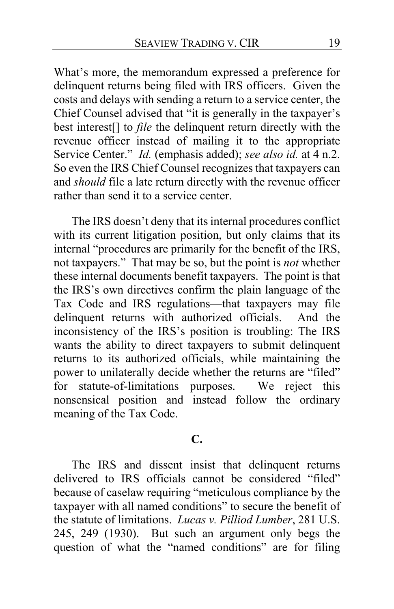What's more, the memorandum expressed a preference for delinquent returns being filed with IRS officers. Given the costs and delays with sending a return to a service center, the Chief Counsel advised that "it is generally in the taxpayer's best interest[] to *file* the delinquent return directly with the revenue officer instead of mailing it to the appropriate Service Center." *Id.* (emphasis added); *see also id.* at 4 n.2. So even the IRS Chief Counsel recognizes that taxpayers can and *should* file a late return directly with the revenue officer rather than send it to a service center.

<span id="page-18-0"></span>The IRS doesn't deny that its internal procedures conflict with its current litigation position, but only claims that its internal "procedures are primarily for the benefit of the IRS, not taxpayers." That may be so, but the point is *not* whether these internal documents benefit taxpayers. The point is that the IRS's own directives confirm the plain language of the Tax Code and IRS regulations—that taxpayers may file delinquent returns with authorized officials. And the inconsistency of the IRS's position is troubling: The IRS wants the ability to direct taxpayers to submit delinquent returns to its authorized officials, while maintaining the power to unilaterally decide whether the returns are "filed" for statute-of-limitations purposes. We reject this nonsensical position and instead follow the ordinary meaning of the Tax Code.

## **C.**

<span id="page-18-2"></span><span id="page-18-1"></span>The IRS and dissent insist that delinquent returns delivered to IRS officials cannot be considered "filed" because of caselaw requiring "meticulous compliance by the taxpayer with all named conditions" to secure the benefit of the statute of limitations. *Lucas v. Pilliod Lumber*, 281 U.S. 245, 249 (1930). But such an argument only begs the question of what the "named conditions" are for filing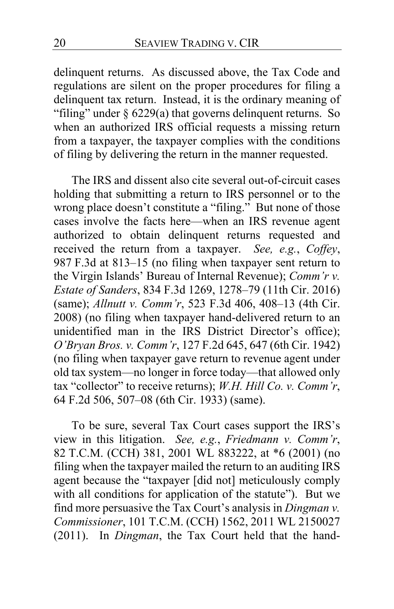<span id="page-19-1"></span>delinquent returns. As discussed above, the Tax Code and regulations are silent on the proper procedures for filing a delinquent tax return. Instead, it is the ordinary meaning of "filing" under § 6229(a) that governs delinquent returns. So when an authorized IRS official requests a missing return from a taxpayer, the taxpayer complies with the conditions of filing by delivering the return in the manner requested.

<span id="page-19-0"></span>The IRS and dissent also cite several out-of-circuit cases holding that submitting a return to IRS personnel or to the wrong place doesn't constitute a "filing." But none of those cases involve the facts here—when an IRS revenue agent authorized to obtain delinquent returns requested and received the return from a taxpayer. *See, e.g.*, *Coffey*, 987 F.3d at 813–15 (no filing when taxpayer sent return to the Virgin Islands' Bureau of Internal Revenue); *Comm'r v. Estate of Sanders*, 834 F.3d 1269, 1278–79 (11th Cir. 2016) (same); *Allnutt v. Comm'r*, 523 F.3d 406, 408–13 (4th Cir. 2008) (no filing when taxpayer hand-delivered return to an unidentified man in the IRS District Director's office); *O'Bryan Bros. v. Comm'r*, 127 F.2d 645, 647 (6th Cir. 1942) (no filing when taxpayer gave return to revenue agent under old tax system—no longer in force today—that allowed only tax "collector" to receive returns); *W.H. Hill Co. v. Comm'r*, 64 F.2d 506, 507–08 (6th Cir. 1933) (same).

To be sure, several Tax Court cases support the IRS's view in this litigation. *See, e.g.*, *Friedmann v. Comm'r*, 82 T.C.M. (CCH) 381, 2001 WL 883222, at \*6 (2001) (no filing when the taxpayer mailed the return to an auditing IRS agent because the "taxpayer [did not] meticulously comply with all conditions for application of the statute"). But we find more persuasive the Tax Court's analysis in *Dingman v. Commissioner*, 101 T.C.M. (CCH) 1562, 2011 WL 2150027 (2011). In *Dingman*, the Tax Court held that the hand-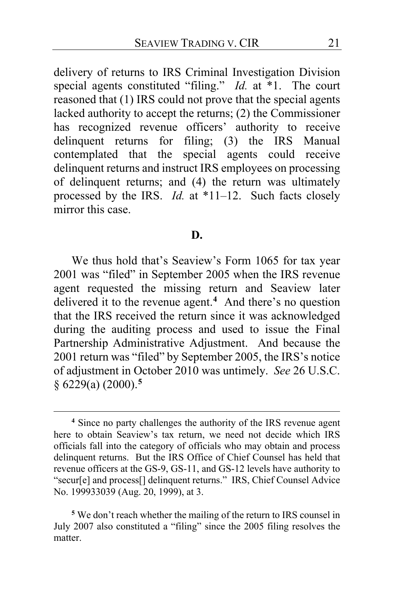delivery of returns to IRS Criminal Investigation Division special agents constituted "filing." *Id.* at \*1. The court reasoned that (1) IRS could not prove that the special agents lacked authority to accept the returns; (2) the Commissioner has recognized revenue officers' authority to receive delinquent returns for filing; (3) the IRS Manual contemplated that the special agents could receive delinquent returns and instruct IRS employees on processing of delinquent returns; and (4) the return was ultimately processed by the IRS. *Id.* at \*11–12. Such facts closely mirror this case.

#### **D.**

<span id="page-20-3"></span><span id="page-20-2"></span>We thus hold that's Seaview's Form 1065 for tax year 2001 was "filed" in September 2005 when the IRS revenue agent requested the missing return and Seaview later delivered it to the revenue agent.**[4](#page-20-0)** And there's no question that the IRS received the return since it was acknowledged during the auditing process and used to issue the Final Partnership Administrative Adjustment. And because the 2001 return was "filed" by September 2005, the IRS's notice of adjustment in October 2010 was untimely. *See* 26 U.S.C. § 6229(a) (2000).**[5](#page-20-1)**

<span id="page-20-4"></span><span id="page-20-0"></span>**<sup>4</sup>** Since no party challenges the authority of the IRS revenue agent here to obtain Seaview's tax return, we need not decide which IRS officials fall into the category of officials who may obtain and process delinquent returns. But the IRS Office of Chief Counsel has held that revenue officers at the GS-9, GS-11, and GS-12 levels have authority to "secur[e] and process[] delinquent returns." IRS, Chief Counsel Advice No. 199933039 (Aug. 20, 1999), at 3.

<span id="page-20-1"></span>**<sup>5</sup>** We don't reach whether the mailing of the return to IRS counsel in July 2007 also constituted a "filing" since the 2005 filing resolves the matter.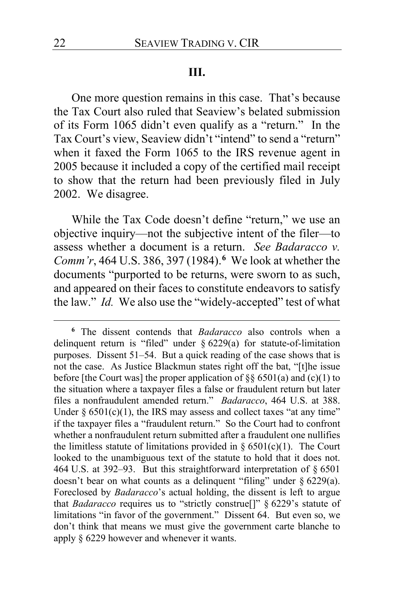## **III.**

One more question remains in this case. That's because the Tax Court also ruled that Seaview's belated submission of its Form 1065 didn't even qualify as a "return." In the Tax Court's view, Seaview didn't "intend" to send a "return" when it faxed the Form 1065 to the IRS revenue agent in 2005 because it included a copy of the certified mail receipt to show that the return had been previously filed in July 2002. We disagree.

While the Tax Code doesn't define "return," we use an objective inquiry—not the subjective intent of the filer—to assess whether a document is a return. *See Badaracco v. Comm'r*, 464 U.S. 386, 397 (1984).**[6](#page-21-0)** We look at whether the documents "purported to be returns, were sworn to as such, and appeared on their faces to constitute endeavors to satisfy the law." *Id.* We also use the "widely-accepted" test of what

<span id="page-21-1"></span><span id="page-21-0"></span>**<sup>6</sup>** The dissent contends that *Badaracco* also controls when a delinquent return is "filed" under § 6229(a) for statute-of-limitation purposes. Dissent [51–](#page-50-0)[54.](#page-53-0) But a quick reading of the case shows that is not the case. As Justice Blackmun states right off the bat, "[t]he issue before [the Court was] the proper application of  $\S$ § 6501(a) and (c)(1) to the situation where a taxpayer files a false or fraudulent return but later files a nonfraudulent amended return." *Badaracco*, 464 U.S. at 388. Under  $\S 6501(c)(1)$ , the IRS may assess and collect taxes "at any time" if the taxpayer files a "fraudulent return." So the Court had to confront whether a nonfraudulent return submitted after a fraudulent one nullifies the limitless statute of limitations provided in  $\S 6501(c)(1)$ . The Court looked to the unambiguous text of the statute to hold that it does not. 464 U.S. at 392–93. But this straightforward interpretation of § 6501 doesn't bear on what counts as a delinquent "filing" under  $\S 6229(a)$ . Foreclosed by *Badaracco*'s actual holding, the dissent is left to argue that *Badaracco* requires us to "strictly construe[]" § 6229's statute of limitations "in favor of the government." Dissent [64.](#page-63-0) But even so, we don't think that means we must give the government carte blanche to apply § 6229 however and whenever it wants.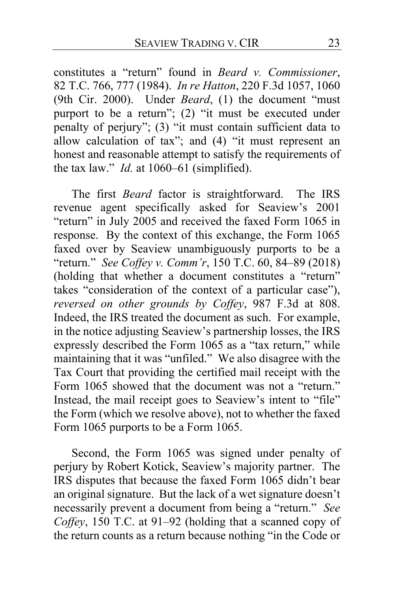constitutes a "return" found in *Beard v. Commissioner*, 82 T.C. 766, 777 (1984). *In re Hatton*, 220 F.3d 1057, 1060 (9th Cir. 2000). Under *Beard*, (1) the document "must purport to be a return"; (2) "it must be executed under penalty of perjury"; (3) "it must contain sufficient data to allow calculation of tax"; and (4) "it must represent an honest and reasonable attempt to satisfy the requirements of the tax law." *Id.* at 1060–61 (simplified).

The first *Beard* factor is straightforward. The IRS revenue agent specifically asked for Seaview's 2001 "return" in July 2005 and received the faxed Form 1065 in response. By the context of this exchange, the Form 1065 faxed over by Seaview unambiguously purports to be a "return." *See Coffey v. Comm'r*, 150 T.C. 60, 84–89 (2018) (holding that whether a document constitutes a "return" takes "consideration of the context of a particular case"), *reversed on other grounds by Coffey*, 987 F.3d at 808. Indeed, the IRS treated the document as such. For example, in the notice adjusting Seaview's partnership losses, the IRS expressly described the Form 1065 as a "tax return," while maintaining that it was "unfiled." We also disagree with the Tax Court that providing the certified mail receipt with the Form 1065 showed that the document was not a "return." Instead, the mail receipt goes to Seaview's intent to "file" the Form (which we resolve above), not to whether the faxed Form 1065 purports to be a Form 1065.

Second, the Form 1065 was signed under penalty of perjury by Robert Kotick, Seaview's majority partner. The IRS disputes that because the faxed Form 1065 didn't bear an original signature. But the lack of a wet signature doesn't necessarily prevent a document from being a "return." *See Coffey*, 150 T.C. at 91–92 (holding that a scanned copy of the return counts as a return because nothing "in the Code or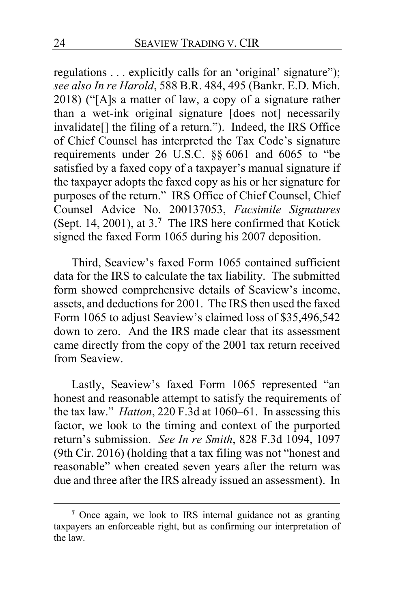regulations . . . explicitly calls for an 'original' signature"); *see also In re Harold*, 588 B.R. 484, 495 (Bankr. E.D. Mich. 2018) ("[A]s a matter of law, a copy of a signature rather than a wet-ink original signature [does not] necessarily invalidate[] the filing of a return."). Indeed, the IRS Office of Chief Counsel has interpreted the Tax Code's signature requirements under 26 U.S.C. §§ 6061 and 6065 to "be satisfied by a faxed copy of a taxpayer's manual signature if the taxpayer adopts the faxed copy as his or her signature for purposes of the return." IRS Office of Chief Counsel, Chief Counsel Advice No. 200137053, *Facsimile Signatures*  (Sept. 14, 2001), at 3.**[7](#page-23-0)** The IRS here confirmed that Kotick signed the faxed Form 1065 during his 2007 deposition.

Third, Seaview's faxed Form 1065 contained sufficient data for the IRS to calculate the tax liability. The submitted form showed comprehensive details of Seaview's income, assets, and deductions for 2001. The IRS then used the faxed Form 1065 to adjust Seaview's claimed loss of \$35,496,542 down to zero. And the IRS made clear that its assessment came directly from the copy of the 2001 tax return received from Seaview.

Lastly, Seaview's faxed Form 1065 represented "an honest and reasonable attempt to satisfy the requirements of the tax law." *Hatton*, 220 F.3d at 1060–61. In assessing this factor, we look to the timing and context of the purported return's submission. *See In re Smith*, 828 F.3d 1094, 1097 (9th Cir. 2016) (holding that a tax filing was not "honest and reasonable" when created seven years after the return was due and three after the IRS already issued an assessment). In

<span id="page-23-0"></span>**<sup>7</sup>** Once again, we look to IRS internal guidance not as granting taxpayers an enforceable right, but as confirming our interpretation of the law.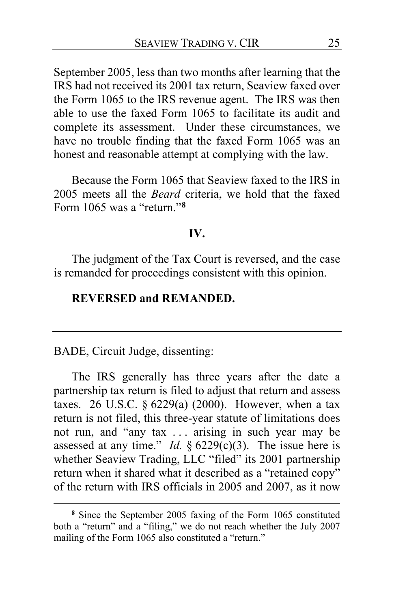September 2005, less than two months after learning that the IRS had not received its 2001 tax return, Seaview faxed over the Form 1065 to the IRS revenue agent. The IRS was then able to use the faxed Form 1065 to facilitate its audit and complete its assessment. Under these circumstances, we have no trouble finding that the faxed Form 1065 was an honest and reasonable attempt at complying with the law.

Because the Form 1065 that Seaview faxed to the IRS in 2005 meets all the *Beard* criteria, we hold that the faxed Form 1065 was a "return."**[8](#page-24-0)**

## **IV.**

The judgment of the Tax Court is reversed, and the case is remanded for proceedings consistent with this opinion.

## **REVERSED and REMANDED.**

BADE, Circuit Judge, dissenting:

The IRS generally has three years after the date a partnership tax return is filed to adjust that return and assess taxes. 26 U.S.C.  $\S 6229(a)$  (2000). However, when a tax return is not filed, this three-year statute of limitations does not run, and "any tax . . . arising in such year may be assessed at any time." *Id.*  $\S$  6229(c)(3). The issue here is whether Seaview Trading, LLC "filed" its 2001 partnership return when it shared what it described as a "retained copy" of the return with IRS officials in 2005 and 2007, as it now

<span id="page-24-0"></span>**<sup>8</sup>** Since the September 2005 faxing of the Form 1065 constituted both a "return" and a "filing," we do not reach whether the July 2007 mailing of the Form 1065 also constituted a "return."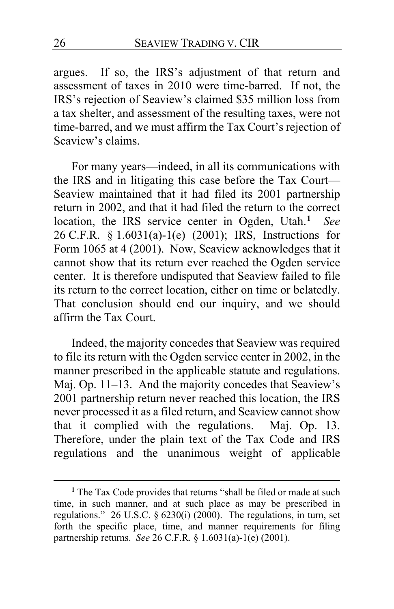argues. If so, the IRS's adjustment of that return and assessment of taxes in 2010 were time-barred. If not, the IRS's rejection of Seaview's claimed \$35 million loss from a tax shelter, and assessment of the resulting taxes, were not time-barred, and we must affirm the Tax Court's rejection of Seaview's claims.

For many years—indeed, in all its communications with the IRS and in litigating this case before the Tax Court— Seaview maintained that it had filed its 2001 partnership return in 2002, and that it had filed the return to the correct location, the IRS service center in Ogden, Utah.**[1](#page-25-0)** *See*  26 C.F.R. § 1.6031(a)-1(e) (2001); IRS, Instructions for Form 1065 at 4 (2001). Now, Seaview acknowledges that it cannot show that its return ever reached the Ogden service center. It is therefore undisputed that Seaview failed to file its return to the correct location, either on time or belatedly. That conclusion should end our inquiry, and we should affirm the Tax Court.

Indeed, the majority concedes that Seaview was required to file its return with the Ogden service center in 2002, in the manner prescribed in the applicable statute and regulations. Maj. Op. [11](#page-10-1)[–13.](#page-12-0) And the majority concedes that Seaview's 2001 partnership return never reached this location, the IRS never processed it as a filed return, and Seaview cannot show that it complied with the regulations. Maj. Op. [13.](#page-12-1) Therefore, under the plain text of the Tax Code and IRS regulations and the unanimous weight of applicable

<span id="page-25-0"></span>**<sup>1</sup>** The Tax Code provides that returns "shall be filed or made at such time, in such manner, and at such place as may be prescribed in regulations." 26 U.S.C. § 6230(i) (2000). The regulations, in turn, set forth the specific place, time, and manner requirements for filing partnership returns. *See* 26 C.F.R. § 1.6031(a)-1(e) (2001).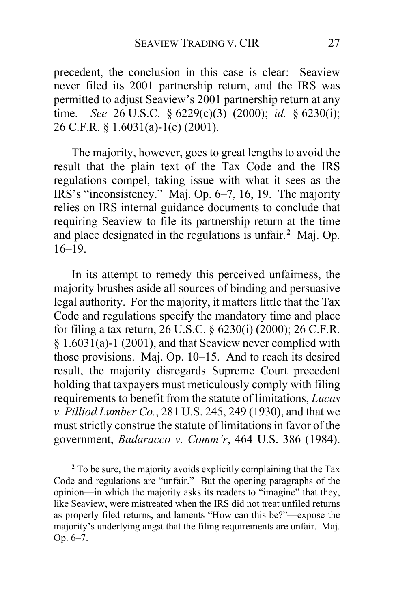precedent, the conclusion in this case is clear: Seaview never filed its 2001 partnership return, and the IRS was permitted to adjust Seaview's 2001 partnership return at any time. *See* 26 U.S.C. § 6229(c)(3) (2000); *id.* § 6230(i); 26 C.F.R. § 1.6031(a)-1(e) (2001).

The majority, however, goes to great lengths to avoid the result that the plain text of the Tax Code and the IRS regulations compel, taking issue with what it sees as the IRS's "inconsistency." Maj. Op. [6–](#page-5-0)[7,](#page-6-0) [16,](#page-15-0) [19.](#page-18-0) The majority relies on IRS internal guidance documents to conclude that requiring Seaview to file its partnership return at the time and place designated in the regulations is unfair.**[2](#page-26-0)** Maj. Op. [16](#page-15-0)[–19.](#page-18-1)

In its attempt to remedy this perceived unfairness, the majority brushes aside all sources of binding and persuasive legal authority. For the majority, it matters little that the Tax Code and regulations specify the mandatory time and place for filing a tax return, 26 U.S.C. § 6230(i) (2000); 26 C.F.R. § 1.6031(a)-1 (2001), and that Seaview never complied with those provisions. Maj. Op. [10](#page-9-0)[–15.](#page-14-1) And to reach its desired result, the majority disregards Supreme Court precedent holding that taxpayers must meticulously comply with filing requirements to benefit from the statute of limitations, *Lucas v. Pilliod Lumber Co.*, 281 U.S. 245, 249 (1930), and that we must strictly construe the statute of limitations in favor of the government, *Badaracco v. Comm'r*, 464 U.S. 386 (1984).

<span id="page-26-0"></span>**<sup>2</sup>** To be sure, the majority avoids explicitly complaining that the Tax Code and regulations are "unfair." But the opening paragraphs of the opinion—in which the majority asks its readers to "imagine" that they, like Seaview, were mistreated when the IRS did not treat unfiled returns as properly filed returns, and laments "How can this be?"—expose the majority's underlying angst that the filing requirements are unfair. Maj. Op. [6](#page-5-1)[–7.](#page-6-0)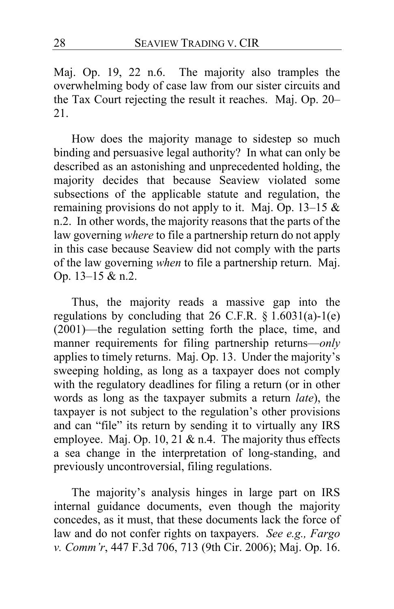Maj. Op. [19,](#page-18-2) [22](#page-21-1) n.6. The majority also tramples the overwhelming body of case law from our sister circuits and the Tax Court rejecting the result it reaches. Maj. Op. [20–](#page-19-0) [21.](#page-20-2)

How does the majority manage to sidestep so much binding and persuasive legal authority? In what can only be described as an astonishing and unprecedented holding, the majority decides that because Seaview violated some subsections of the applicable statute and regulation, the remaining provisions do not apply to it. Maj. Op. [13–](#page-12-2)[15](#page-14-1) & n.2. In other words, the majority reasons that the parts of the law governing *where* to file a partnership return do not apply in this case because Seaview did not comply with the parts of the law governing *when* to file a partnership return. Maj. Op. [13](#page-12-2)[–15](#page-14-1) & n.2.

Thus, the majority reads a massive gap into the regulations by concluding that  $26$  C.F.R.  $\S 1.6031(a)-1(e)$ (2001)—the regulation setting forth the place, time, and manner requirements for filing partnership returns—*only* applies to timely returns. Maj. Op[. 13.](#page-12-2) Under the majority's sweeping holding, as long as a taxpayer does not comply with the regulatory deadlines for filing a return (or in other words as long as the taxpayer submits a return *late*), the taxpayer is not subject to the regulation's other provisions and can "file" its return by sending it to virtually any IRS employee. Maj. Op. [10,](#page-9-1) [21](#page-20-3) & n.4. The majority thus effects a sea change in the interpretation of long-standing, and previously uncontroversial, filing regulations.

The majority's analysis hinges in large part on IRS internal guidance documents, even though the majority concedes, as it must, that these documents lack the force of law and do not confer rights on taxpayers. *See e.g., Fargo v. Comm'r*, 447 F.3d 706, 713 (9th Cir. 2006); Maj. Op. [16.](#page-15-1)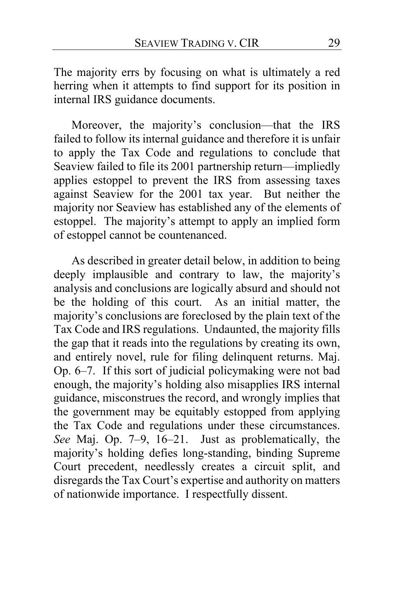The majority errs by focusing on what is ultimately a red herring when it attempts to find support for its position in internal IRS guidance documents.

Moreover, the majority's conclusion—that the IRS failed to follow its internal guidance and therefore it is unfair to apply the Tax Code and regulations to conclude that Seaview failed to file its 2001 partnership return—impliedly applies estoppel to prevent the IRS from assessing taxes against Seaview for the 2001 tax year. But neither the majority nor Seaview has established any of the elements of estoppel. The majority's attempt to apply an implied form of estoppel cannot be countenanced.

As described in greater detail below, in addition to being deeply implausible and contrary to law, the majority's analysis and conclusions are logically absurd and should not be the holding of this court. As an initial matter, the majority's conclusions are foreclosed by the plain text of the Tax Code and IRS regulations. Undaunted, the majority fills the gap that it reads into the regulations by creating its own, and entirely novel, rule for filing delinquent returns. Maj. Op. [6](#page-5-1)[–7.](#page-6-0) If this sort of judicial policymaking were not bad enough, the majority's holding also misapplies IRS internal guidance, misconstrues the record, and wrongly implies that the government may be equitably estopped from applying the Tax Code and regulations under these circumstances. *See* Maj. Op. [7](#page-6-1)[–9,](#page-8-0) [16–](#page-15-0)[21.](#page-20-4) Just as problematically, the majority's holding defies long-standing, binding Supreme Court precedent, needlessly creates a circuit split, and disregards the Tax Court's expertise and authority on matters of nationwide importance. I respectfully dissent.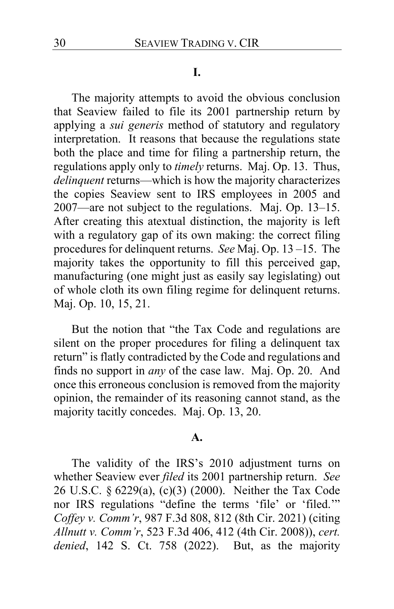#### **I.**

The majority attempts to avoid the obvious conclusion that Seaview failed to file its 2001 partnership return by applying a *sui generis* method of statutory and regulatory interpretation. It reasons that because the regulations state both the place and time for filing a partnership return, the regulations apply only to *timely* returns. Maj. Op. [13.](#page-12-2) Thus, *delinquent* returns—which is how the majority characterizes the copies Seaview sent to IRS employees in 2005 and 2007—are not subject to the regulations. Maj. Op. [13–](#page-12-3)[15.](#page-14-1) After creating this atextual distinction, the majority is left with a regulatory gap of its own making: the correct filing procedures for delinquent returns.*See* Maj. Op. [13](#page-12-4) [–15.](#page-14-1) The majority takes the opportunity to fill this perceived gap, manufacturing (one might just as easily say legislating) out of whole cloth its own filing regime for delinquent returns. Maj. Op. [10,](#page-9-1) [15,](#page-14-2) [21.](#page-20-3)

But the notion that "the Tax Code and regulations are silent on the proper procedures for filing a delinquent tax return" is flatly contradicted by the Code and regulations and finds no support in *any* of the case law. Maj. Op. [20.](#page-19-1) And once this erroneous conclusion is removed from the majority opinion, the remainder of its reasoning cannot stand, as the majority tacitly concedes. Maj. Op. [13,](#page-12-5) [20.](#page-19-1)

#### **A.**

The validity of the IRS's 2010 adjustment turns on whether Seaview ever *filed* its 2001 partnership return. *See*  26 U.S.C. § 6229(a), (c)(3) (2000). Neither the Tax Code nor IRS regulations "define the terms 'file' or 'filed.'" *Coffey v. Comm'r*, 987 F.3d 808, 812 (8th Cir. 2021) (citing *Allnutt v. Comm'r*, 523 F.3d 406, 412 (4th Cir. 2008)), *cert. denied*, 142 S. Ct. 758 (2022). But, as the majority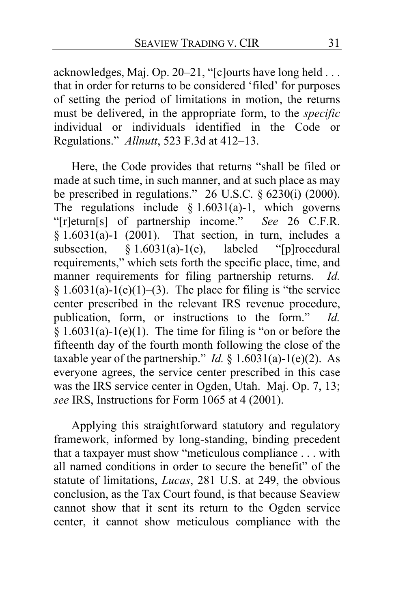acknowledges, Maj. Op. [20](#page-19-0)[–21,](#page-20-2) "[c]ourts have long held . . . that in order for returns to be considered 'filed' for purposes of setting the period of limitations in motion, the returns must be delivered, in the appropriate form, to the *specific*  individual or individuals identified in the Code or Regulations." *Allnutt*, 523 F.3d at 412–13.

Here, the Code provides that returns "shall be filed or made at such time, in such manner, and at such place as may be prescribed in regulations."  $26$  U.S.C.  $\S 6230(i)$  (2000). The regulations include  $§ 1.6031(a)-1$ , which governs "[r]eturn[s] of partnership income." *See* 26 C.F.R.  $§ 1.6031(a)-1$  (2001). That section, in turn, includes a subsection,  $\S 1.6031(a)-1(e)$ , labeled "[p]rocedural requirements," which sets forth the specific place, time, and manner requirements for filing partnership returns. *Id.*  $§ 1.6031(a)-1(e)(1)–(3)$ . The place for filing is "the service" center prescribed in the relevant IRS revenue procedure, publication, form, or instructions to the form." *Id.*  $\frac{1}{2}$  1.6031(a)-1(e)(1). The time for filing is "on or before the fifteenth day of the fourth month following the close of the taxable year of the partnership." *Id.* §  $1.6031(a)-1(e)(2)$ . As everyone agrees, the service center prescribed in this case was the IRS service center in Ogden, Utah. Maj. Op. [7,](#page-6-2) [13;](#page-12-1) *see* IRS, Instructions for Form 1065 at 4 (2001).

Applying this straightforward statutory and regulatory framework, informed by long-standing, binding precedent that a taxpayer must show "meticulous compliance . . . with all named conditions in order to secure the benefit" of the statute of limitations, *Lucas*, 281 U.S. at 249, the obvious conclusion, as the Tax Court found, is that because Seaview cannot show that it sent its return to the Ogden service center, it cannot show meticulous compliance with the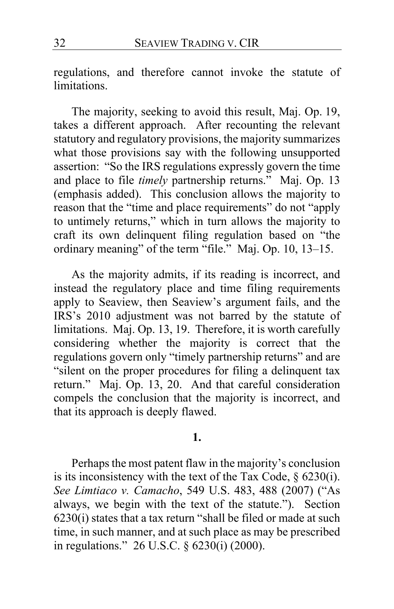regulations, and therefore cannot invoke the statute of limitations.

The majority, seeking to avoid this result, Maj. Op. [19,](#page-18-0) takes a different approach. After recounting the relevant statutory and regulatory provisions, the majority summarizes what those provisions say with the following unsupported assertion: "So the IRS regulations expressly govern the time and place to file *timely* partnership returns." Maj. Op. [13](#page-12-2) (emphasis added). This conclusion allows the majority to reason that the "time and place requirements" do not "apply to untimely returns," which in turn allows the majority to craft its own delinquent filing regulation based on "the ordinary meaning" of the term "file." Maj. Op. [10,](#page-9-1) [13](#page-12-2)[–15.](#page-14-1)

As the majority admits, if its reading is incorrect, and instead the regulatory place and time filing requirements apply to Seaview, then Seaview's argument fails, and the IRS's 2010 adjustment was not barred by the statute of limitations. Maj. Op[. 13,](#page-12-5) [19.](#page-18-2) Therefore, it is worth carefully considering whether the majority is correct that the regulations govern only "timely partnership returns" and are "silent on the proper procedures for filing a delinquent tax return." Maj. Op. [13,](#page-12-2) [20.](#page-19-1) And that careful consideration compels the conclusion that the majority is incorrect, and that its approach is deeply flawed.

#### **1.**

Perhaps the most patent flaw in the majority's conclusion is its inconsistency with the text of the Tax Code,  $\S$  6230(i). *See Limtiaco v. Camacho*, 549 U.S. 483, 488 (2007) ("As always, we begin with the text of the statute."). Section 6230(i) states that a tax return "shall be filed or made at such time, in such manner, and at such place as may be prescribed in regulations." 26 U.S.C. § 6230(i) (2000).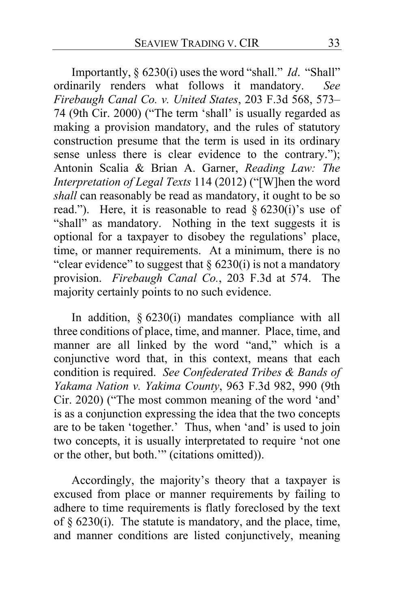Importantly, § 6230(i) uses the word "shall." *Id*. "Shall" ordinarily renders what follows it mandatory. *See Firebaugh Canal Co. v. United States*, 203 F.3d 568, 573– 74 (9th Cir. 2000) ("The term 'shall' is usually regarded as making a provision mandatory, and the rules of statutory construction presume that the term is used in its ordinary sense unless there is clear evidence to the contrary."); Antonin Scalia & Brian A. Garner, *Reading Law: The Interpretation of Legal Texts* 114 (2012) ("[W]hen the word *shall* can reasonably be read as mandatory, it ought to be so read."). Here, it is reasonable to read  $\S 6230(i)$ 's use of "shall" as mandatory. Nothing in the text suggests it is optional for a taxpayer to disobey the regulations' place, time, or manner requirements. At a minimum, there is no "clear evidence" to suggest that  $\S$  6230(i) is not a mandatory provision. *Firebaugh Canal Co.*, 203 F.3d at 574. The majority certainly points to no such evidence.

In addition, § 6230(i) mandates compliance with all three conditions of place, time, and manner. Place, time, and manner are all linked by the word "and," which is a conjunctive word that, in this context, means that each condition is required. *See Confederated Tribes & Bands of Yakama Nation v. Yakima County*, 963 F.3d 982, 990 (9th Cir. 2020) ("The most common meaning of the word 'and' is as a conjunction expressing the idea that the two concepts are to be taken 'together.' Thus, when 'and' is used to join two concepts, it is usually interpretated to require 'not one or the other, but both.'" (citations omitted)).

Accordingly, the majority's theory that a taxpayer is excused from place or manner requirements by failing to adhere to time requirements is flatly foreclosed by the text of  $\S$  6230(i). The statute is mandatory, and the place, time, and manner conditions are listed conjunctively, meaning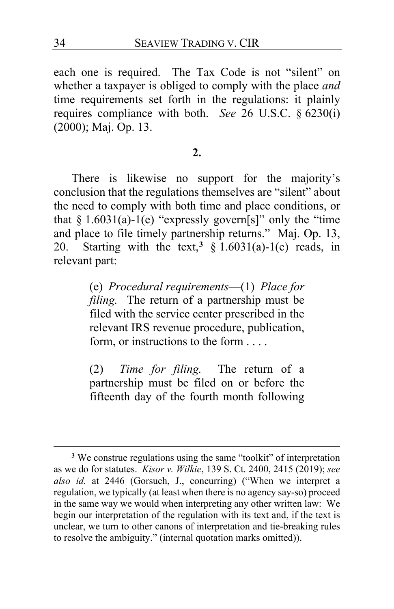each one is required. The Tax Code is not "silent" on whether a taxpayer is obliged to comply with the place *and* time requirements set forth in the regulations: it plainly requires compliance with both. *See* 26 U.S.C. § 6230(i) (2000); Maj. Op. [13.](#page-12-2)

## **2.**

There is likewise no support for the majority's conclusion that the regulations themselves are "silent" about the need to comply with both time and place conditions, or that  $§ 1.6031(a)-1(e)$  "expressly govern[s]" only the "time and place to file timely partnership returns." Maj. Op. [13,](#page-12-2) [20.](#page-19-1) Starting with the text,<sup>[3](#page-33-0)</sup>  $\frac{1}{2}$  1.6031(a)-1(e) reads, in relevant part:

> (e) *Procedural requirements*—(1) *Place for filing.* The return of a partnership must be filed with the service center prescribed in the relevant IRS revenue procedure, publication, form, or instructions to the form . . . .

(2) *Time for filing.* The return of a partnership must be filed on or before the fifteenth day of the fourth month following

<span id="page-33-0"></span>**<sup>3</sup>** We construe regulations using the same "toolkit" of interpretation as we do for statutes. *Kisor v. Wilkie*, 139 S. Ct. 2400, 2415 (2019); *see also id.* at 2446 (Gorsuch, J., concurring) ("When we interpret a regulation, we typically (at least when there is no agency say-so) proceed in the same way we would when interpreting any other written law: We begin our interpretation of the regulation with its text and, if the text is unclear, we turn to other canons of interpretation and tie-breaking rules to resolve the ambiguity." (internal quotation marks omitted)).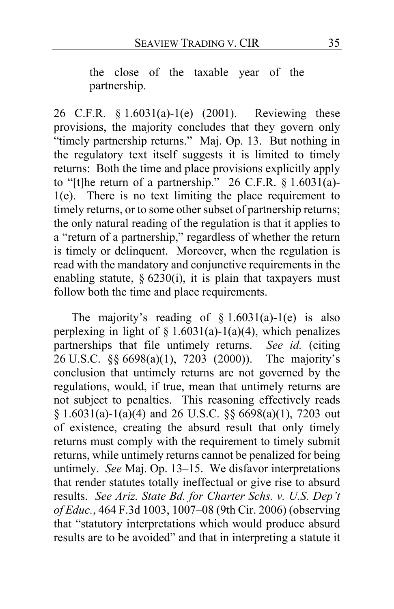the close of the taxable year of the partnership.

26 C.F.R. § 1.6031(a)-1(e) (2001). Reviewing these provisions, the majority concludes that they govern only "timely partnership returns." Maj. Op. [13.](#page-12-2) But nothing in the regulatory text itself suggests it is limited to timely returns: Both the time and place provisions explicitly apply to "[t]he return of a partnership." 26 C.F.R.  $\S 1.6031(a)$ -1(e). There is no text limiting the place requirement to timely returns, or to some other subset of partnership returns; the only natural reading of the regulation is that it applies to a "return of a partnership," regardless of whether the return is timely or delinquent. Moreover, when the regulation is read with the mandatory and conjunctive requirements in the enabling statute,  $\S$  6230(i), it is plain that taxpayers must follow both the time and place requirements.

The majority's reading of  $§ 1.6031(a)-1(e)$  is also perplexing in light of  $\S 1.6031(a)-1(a)(4)$ , which penalizes partnerships that file untimely returns. *See id.* (citing 26 U.S.C. §§ 6698(a)(1), 7203 (2000)). The majority's conclusion that untimely returns are not governed by the regulations, would, if true, mean that untimely returns are not subject to penalties. This reasoning effectively reads  $§ 1.6031(a)-1(a)(4)$  and 26 U.S.C.  $§ 6698(a)(1)$ , 7203 out of existence, creating the absurd result that only timely returns must comply with the requirement to timely submit returns, while untimely returns cannot be penalized for being untimely. *See* Maj. Op. [13–](#page-12-2)[15.](#page-14-1) We disfavor interpretations that render statutes totally ineffectual or give rise to absurd results. *See Ariz. State Bd. for Charter Schs. v. U.S. Dep't of Educ.*, 464 F.3d 1003, 1007–08 (9th Cir. 2006) (observing that "statutory interpretations which would produce absurd results are to be avoided" and that in interpreting a statute it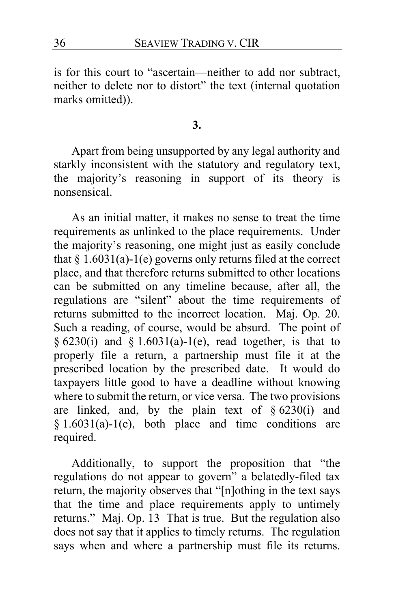is for this court to "ascertain—neither to add nor subtract, neither to delete nor to distort" the text (internal quotation marks omitted)).

**3.**

Apart from being unsupported by any legal authority and starkly inconsistent with the statutory and regulatory text, the majority's reasoning in support of its theory is nonsensical.

As an initial matter, it makes no sense to treat the time requirements as unlinked to the place requirements. Under the majority's reasoning, one might just as easily conclude that  $§ 1.6031(a)-1(e)$  governs only returns filed at the correct place, and that therefore returns submitted to other locations can be submitted on any timeline because, after all, the regulations are "silent" about the time requirements of returns submitted to the incorrect location. Maj. Op. [20.](#page-19-1) Such a reading, of course, would be absurd. The point of § 6230(i) and § 1.6031(a)-1(e), read together, is that to properly file a return, a partnership must file it at the prescribed location by the prescribed date. It would do taxpayers little good to have a deadline without knowing where to submit the return, or vice versa. The two provisions are linked, and, by the plain text of  $§ 6230(i)$  and  $§ 1.6031(a)-1(e)$ , both place and time conditions are required.

Additionally, to support the proposition that "the regulations do not appear to govern" a belatedly-filed tax return, the majority observes that "[n]othing in the text says that the time and place requirements apply to untimely returns." Maj. Op. [13](#page-12-6) That is true. But the regulation also does not say that it applies to timely returns. The regulation says when and where a partnership must file its returns.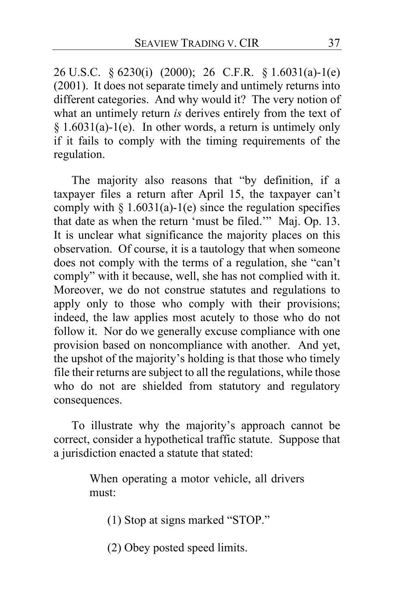26 U.S.C. § 6230(i) (2000); 26 C.F.R. § 1.6031(a)-1(e) (2001). It does not separate timely and untimely returns into different categories. And why would it? The very notion of what an untimely return *is* derives entirely from the text of  $§ 1.6031(a)-1(e)$ . In other words, a return is untimely only if it fails to comply with the timing requirements of the regulation.

The majority also reasons that "by definition, if a taxpayer files a return after April 15, the taxpayer can't comply with  $\S 1.6031(a)$ -1(e) since the regulation specifies that date as when the return 'must be filed.'" Maj. Op. [13.](#page-12-0) It is unclear what significance the majority places on this observation. Of course, it is a tautology that when someone does not comply with the terms of a regulation, she "can't comply" with it because, well, she has not complied with it. Moreover, we do not construe statutes and regulations to apply only to those who comply with their provisions; indeed, the law applies most acutely to those who do not follow it. Nor do we generally excuse compliance with one provision based on noncompliance with another. And yet, the upshot of the majority's holding is that those who timely file their returns are subject to all the regulations, while those who do not are shielded from statutory and regulatory consequences.

To illustrate why the majority's approach cannot be correct, consider a hypothetical traffic statute. Suppose that a jurisdiction enacted a statute that stated:

> When operating a motor vehicle, all drivers must:

(1) Stop at signs marked "STOP."

(2) Obey posted speed limits.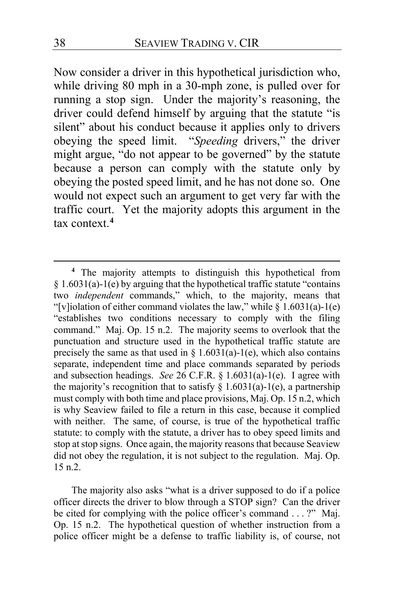Now consider a driver in this hypothetical jurisdiction who, while driving 80 mph in a 30-mph zone, is pulled over for running a stop sign. Under the majority's reasoning, the driver could defend himself by arguing that the statute "is silent" about his conduct because it applies only to drivers obeying the speed limit. "*Speeding* drivers," the driver might argue, "do not appear to be governed" by the statute because a person can comply with the statute only by obeying the posted speed limit, and he has not done so. One would not expect such an argument to get very far with the traffic court. Yet the majority adopts this argument in the tax context.**[4](#page-37-0)**

The majority also asks "what is a driver supposed to do if a police officer directs the driver to blow through a STOP sign? Can the driver be cited for complying with the police officer's command . . . ?" Maj. Op. [15](#page-14-0) n.2. The hypothetical question of whether instruction from a police officer might be a defense to traffic liability is, of course, not

<span id="page-37-0"></span>**<sup>4</sup>** The majority attempts to distinguish this hypothetical from § 1.6031(a)-1(e) by arguing that the hypothetical traffic statute "contains two *independent* commands," which, to the majority, means that "[v]iolation of either command violates the law," while  $\S 1.6031(a)$ -1(e) "establishes two conditions necessary to comply with the filing command." Maj. Op. [15](#page-14-0) n.2. The majority seems to overlook that the punctuation and structure used in the hypothetical traffic statute are precisely the same as that used in  $\S$  1.6031(a)-1(e), which also contains separate, independent time and place commands separated by periods and subsection headings. *See* 26 C.F.R. § 1.6031(a)-1(e). I agree with the majority's recognition that to satisfy  $\S 1.6031(a)-1(e)$ , a partnership must comply with both time and place provisions, Maj. Op. [15](#page-14-0) n.2, which is why Seaview failed to file a return in this case, because it complied with neither. The same, of course, is true of the hypothetical traffic statute: to comply with the statute, a driver has to obey speed limits and stop at stop signs. Once again, the majority reasons that because Seaview did not obey the regulation, it is not subject to the regulation. Maj. Op. [15](#page-14-0) n.2.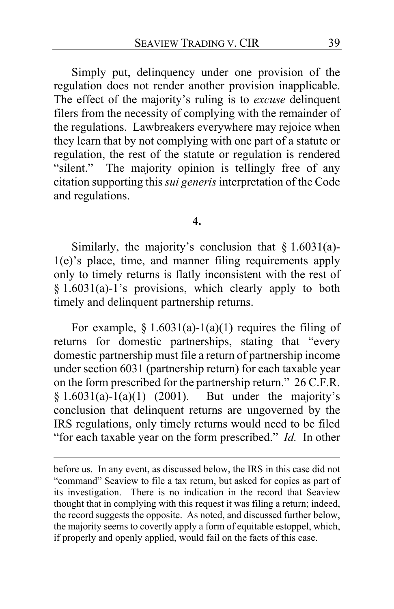Simply put, delinquency under one provision of the regulation does not render another provision inapplicable. The effect of the majority's ruling is to *excuse* delinquent filers from the necessity of complying with the remainder of the regulations. Lawbreakers everywhere may rejoice when they learn that by not complying with one part of a statute or regulation, the rest of the statute or regulation is rendered "silent." The majority opinion is tellingly free of any citation supporting this *sui generis* interpretation of the Code and regulations.

### **4.**

Similarly, the majority's conclusion that  $\S 1.6031(a)$ -1(e)'s place, time, and manner filing requirements apply only to timely returns is flatly inconsistent with the rest of § 1.6031(a)-1's provisions, which clearly apply to both timely and delinquent partnership returns.

For example,  $\S 1.6031(a)-1(a)(1)$  requires the filing of returns for domestic partnerships, stating that "every domestic partnership must file a return of partnership income under section 6031 (partnership return) for each taxable year on the form prescribed for the partnership return." 26 C.F.R.  $§ 1.6031(a)-1(a)(1)$  (2001). But under the majority's conclusion that delinquent returns are ungoverned by the IRS regulations, only timely returns would need to be filed "for each taxable year on the form prescribed." *Id.* In other

before us. In any event, as discussed below, the IRS in this case did not "command" Seaview to file a tax return, but asked for copies as part of its investigation. There is no indication in the record that Seaview thought that in complying with this request it was filing a return; indeed, the record suggests the opposite. As noted, and discussed further below, the majority seems to covertly apply a form of equitable estoppel, which, if properly and openly applied, would fail on the facts of this case.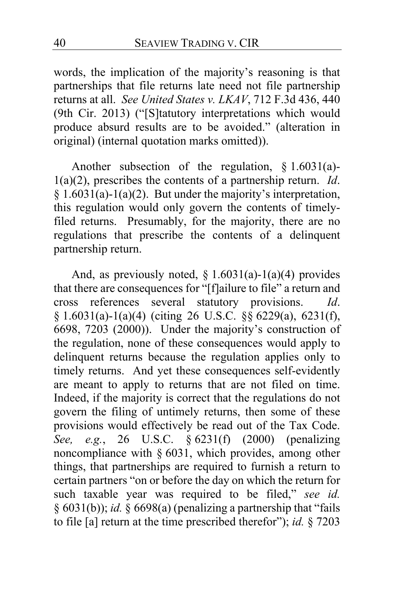words, the implication of the majority's reasoning is that partnerships that file returns late need not file partnership returns at all. *See United States v. LKAV*, 712 F.3d 436, 440 (9th Cir. 2013) ("[S]tatutory interpretations which would produce absurd results are to be avoided." (alteration in original) (internal quotation marks omitted)).

Another subsection of the regulation, § 1.6031(a)- 1(a)(2), prescribes the contents of a partnership return. *Id*.  $§ 1.6031(a)-1(a)(2)$ . But under the majority's interpretation, this regulation would only govern the contents of timelyfiled returns. Presumably, for the majority, there are no regulations that prescribe the contents of a delinquent partnership return.

And, as previously noted,  $\S 1.6031(a)$ -1(a)(4) provides that there are consequences for "[f]ailure to file" a return and cross references several statutory provisions. *Id*. § 1.6031(a)-1(a)(4) (citing 26 U.S.C. §§ 6229(a), 6231(f), 6698, 7203 (2000)). Under the majority's construction of the regulation, none of these consequences would apply to delinquent returns because the regulation applies only to timely returns. And yet these consequences self-evidently are meant to apply to returns that are not filed on time. Indeed, if the majority is correct that the regulations do not govern the filing of untimely returns, then some of these provisions would effectively be read out of the Tax Code. *See, e.g.*, 26 U.S.C. § 6231(f) (2000) (penalizing noncompliance with § 6031, which provides, among other things, that partnerships are required to furnish a return to certain partners "on or before the day on which the return for such taxable year was required to be filed," *see id.*  § 6031(b)); *id.* § 6698(a) (penalizing a partnership that "fails to file [a] return at the time prescribed therefor"); *id.* § 7203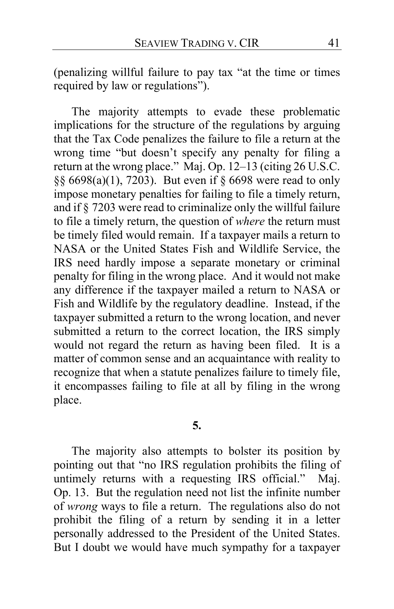(penalizing willful failure to pay tax "at the time or times required by law or regulations").

The majority attempts to evade these problematic implications for the structure of the regulations by arguing that the Tax Code penalizes the failure to file a return at the wrong time "but doesn't specify any penalty for filing a return at the wrong place." Maj. Op. [12](#page-11-0)[–13](#page-12-1) (citing 26 U.S.C. §§ 6698(a)(1), 7203). But even if § 6698 were read to only impose monetary penalties for failing to file a timely return, and if § 7203 were read to criminalize only the willful failure to file a timely return, the question of *where* the return must be timely filed would remain. If a taxpayer mails a return to NASA or the United States Fish and Wildlife Service, the IRS need hardly impose a separate monetary or criminal penalty for filing in the wrong place. And it would not make any difference if the taxpayer mailed a return to NASA or Fish and Wildlife by the regulatory deadline. Instead, if the taxpayer submitted a return to the wrong location, and never submitted a return to the correct location, the IRS simply would not regard the return as having been filed. It is a matter of common sense and an acquaintance with reality to recognize that when a statute penalizes failure to timely file, it encompasses failing to file at all by filing in the wrong place.

# **5.**

The majority also attempts to bolster its position by pointing out that "no IRS regulation prohibits the filing of untimely returns with a requesting IRS official." Maj. Op. [13.](#page-12-2) But the regulation need not list the infinite number of *wrong* ways to file a return. The regulations also do not prohibit the filing of a return by sending it in a letter personally addressed to the President of the United States. But I doubt we would have much sympathy for a taxpayer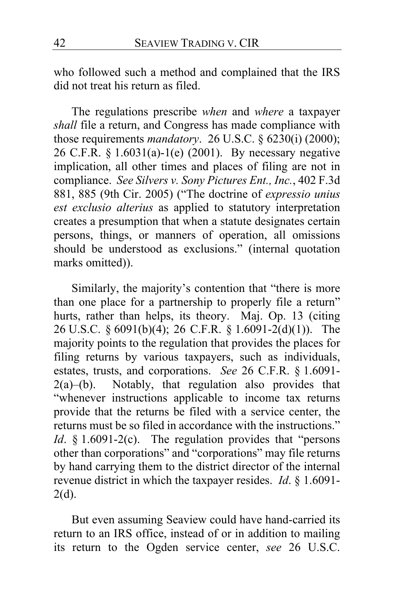who followed such a method and complained that the IRS did not treat his return as filed.

The regulations prescribe *when* and *where* a taxpayer *shall* file a return, and Congress has made compliance with those requirements *mandatory*. 26 U.S.C. § 6230(i) (2000); 26 C.F.R. § 1.6031(a)-1(e) (2001). By necessary negative implication, all other times and places of filing are not in compliance. *See Silvers v. Sony Pictures Ent., Inc.*, 402 F.3d 881, 885 (9th Cir. 2005) ("The doctrine of *expressio unius est exclusio alterius* as applied to statutory interpretation creates a presumption that when a statute designates certain persons, things, or manners of operation, all omissions should be understood as exclusions." (internal quotation marks omitted)).

Similarly, the majority's contention that "there is more than one place for a partnership to properly file a return" hurts, rather than helps, its theory. Maj. Op. [13](#page-12-3) (citing 26 U.S.C. § 6091(b)(4); 26 C.F.R. § 1.6091-2(d)(1)). The majority points to the regulation that provides the places for filing returns by various taxpayers, such as individuals, estates, trusts, and corporations. *See* 26 C.F.R. § 1.6091-  $2(a)$ –(b). Notably, that regulation also provides that "whenever instructions applicable to income tax returns provide that the returns be filed with a service center, the returns must be so filed in accordance with the instructions." *Id*. § 1.6091-2(c). The regulation provides that "persons other than corporations" and "corporations" may file returns by hand carrying them to the district director of the internal revenue district in which the taxpayer resides. *Id*. § 1.6091-  $2(d)$ .

But even assuming Seaview could have hand-carried its return to an IRS office, instead of or in addition to mailing its return to the Ogden service center, *see* 26 U.S.C.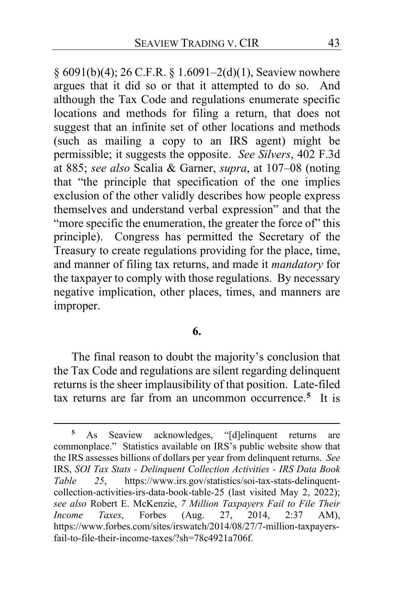§ 6091(b)(4); 26 C.F.R. § 1.6091–2(d)(1), Seaview nowhere argues that it did so or that it attempted to do so. And although the Tax Code and regulations enumerate specific locations and methods for filing a return, that does not suggest that an infinite set of other locations and methods (such as mailing a copy to an IRS agent) might be permissible; it suggests the opposite. *See Silvers*, 402 F.3d at 885; *see also* Scalia & Garner, *supra*, at 107–08 (noting that "the principle that specification of the one implies exclusion of the other validly describes how people express themselves and understand verbal expression" and that the "more specific the enumeration, the greater the force of" this principle). Congress has permitted the Secretary of the Treasury to create regulations providing for the place, time, and manner of filing tax returns, and made it *mandatory* for the taxpayer to comply with those regulations. By necessary negative implication, other places, times, and manners are improper.

## **6.**

The final reason to doubt the majority's conclusion that the Tax Code and regulations are silent regarding delinquent returns is the sheer implausibility of that position. Late-filed tax returns are far from an uncommon occurrence.**[5](#page-42-0)** It is

<span id="page-42-0"></span>**<sup>5</sup>** As Seaview acknowledges, "[d]elinquent returns are commonplace." Statistics available on IRS's public website show that the IRS assesses billions of dollars per year from delinquent returns. *See*  IRS, *SOI Tax Stats - Delinquent Collection Activities - IRS Data Book Table 25*, https://www.irs.gov/statistics/soi-tax-stats-delinquentcollection-activities-irs-data-book-table-25 (last visited May 2, 2022); *see also* Robert E. McKenzie, *7 Million Taxpayers Fail to File Their Income Taxes*, Forbes (Aug. 27, 2014, 2:37 AM), https://www.forbes.com/sites/irswatch/2014/08/27/7-million-taxpayersfail-to-file-their-income-taxes/?sh=78c4921a706f.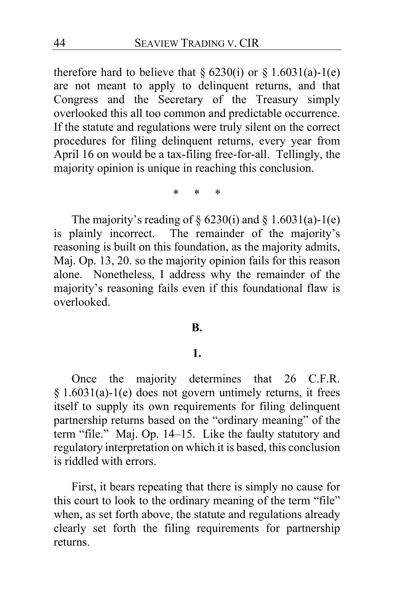therefore hard to believe that  $\S 6230(i)$  or  $\S 1.6031(a)-1(e)$ are not meant to apply to delinquent returns, and that Congress and the Secretary of the Treasury simply overlooked this all too common and predictable occurrence. If the statute and regulations were truly silent on the correct procedures for filing delinquent returns, every year from April 16 on would be a tax-filing free-for-all. Tellingly, the majority opinion is unique in reaching this conclusion.

\* \* \*

The majority's reading of  $\S$  6230(i) and  $\S$  1.6031(a)-1(e) is plainly incorrect. The remainder of the majority's reasoning is built on this foundation, as the majority admits, Maj. Op. [13,](#page-12-4) [20.](#page-19-0) so the majority opinion fails for this reason alone. Nonetheless, I address why the remainder of the majority's reasoning fails even if this foundational flaw is overlooked.

### **B.**

## **1.**

Once the majority determines that 26 C.F.R. § 1.6031(a)-1(e) does not govern untimely returns, it frees itself to supply its own requirements for filing delinquent partnership returns based on the "ordinary meaning" of the term "file." Maj. Op. [14](#page-13-0)[–15.](#page-14-1) Like the faulty statutory and regulatory interpretation on which it is based, this conclusion is riddled with errors.

First, it bears repeating that there is simply no cause for this court to look to the ordinary meaning of the term "file" when, as set forth above, the statute and regulations already clearly set forth the filing requirements for partnership returns.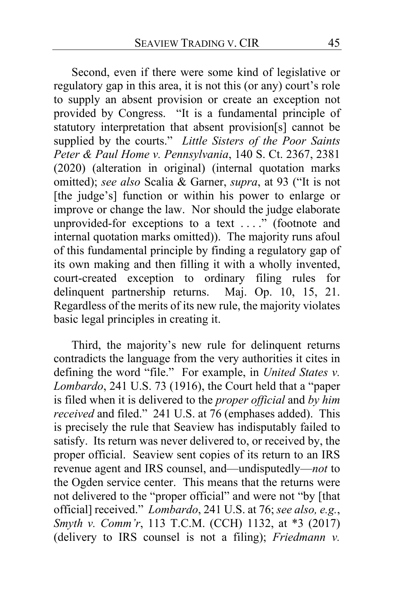Second, even if there were some kind of legislative or regulatory gap in this area, it is not this (or any) court's role to supply an absent provision or create an exception not provided by Congress. "It is a fundamental principle of statutory interpretation that absent provision[s] cannot be supplied by the courts." *Little Sisters of the Poor Saints Peter & Paul Home v. Pennsylvania*, 140 S. Ct. 2367, 2381 (2020) (alteration in original) (internal quotation marks omitted); *see also* Scalia & Garner, *supra*, at 93 ("It is not [the judge's] function or within his power to enlarge or improve or change the law. Nor should the judge elaborate unprovided-for exceptions to a text ...." (footnote and internal quotation marks omitted)). The majority runs afoul of this fundamental principle by finding a regulatory gap of its own making and then filling it with a wholly invented, court-created exception to ordinary filing rules for delinquent partnership returns. Maj. Op. [10,](#page-9-0) [15,](#page-14-2) [21.](#page-20-0) Regardless of the merits of its new rule, the majority violates basic legal principles in creating it.

Third, the majority's new rule for delinquent returns contradicts the language from the very authorities it cites in defining the word "file." For example, in *United States v. Lombardo*, 241 U.S. 73 (1916), the Court held that a "paper is filed when it is delivered to the *proper official* and *by him received* and filed." 241 U.S. at 76 (emphases added). This is precisely the rule that Seaview has indisputably failed to satisfy. Its return was never delivered to, or received by, the proper official. Seaview sent copies of its return to an IRS revenue agent and IRS counsel, and—undisputedly—*not* to the Ogden service center. This means that the returns were not delivered to the "proper official" and were not "by [that official] received." *Lombardo*, 241 U.S. at 76; *see also, e.g.*, *Smyth v. Comm'r*, 113 T.C.M. (CCH) 1132, at \*3 (2017) (delivery to IRS counsel is not a filing); *Friedmann v.*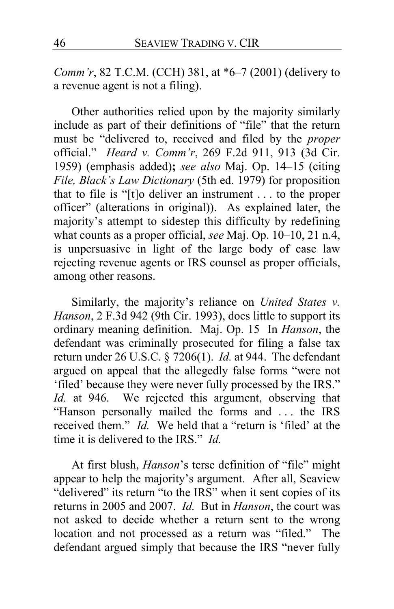*Comm'r*, 82 T.C.M. (CCH) 381, at \*6–7 (2001) (delivery to a revenue agent is not a filing).

Other authorities relied upon by the majority similarly include as part of their definitions of "file" that the return must be "delivered to, received and filed by the *proper* official." *Heard v. Comm'r*, 269 F.2d 911, 913 (3d Cir. 1959) (emphasis added)**;** *see also* Maj. Op. [14–](#page-13-1)[15](#page-14-3) (citing *File, Black's Law Dictionary* (5th ed. 1979) for proposition that to file is "[t]o deliver an instrument . . . to the proper officer" (alterations in original)). As explained later, the majority's attempt to sidestep this difficulty by redefining what counts as a proper official, *see* Maj. Op. [10–](#page-9-1)[10,](#page-9-2) [21](#page-20-1) n.4, is unpersuasive in light of the large body of case law rejecting revenue agents or IRS counsel as proper officials, among other reasons.

Similarly, the majority's reliance on *United States v. Hanson*, 2 F.3d 942 (9th Cir. 1993), does little to support its ordinary meaning definition. Maj. Op. [15](#page-14-2) In *Hanson*, the defendant was criminally prosecuted for filing a false tax return under 26 U.S.C. § 7206(1). *Id.* at 944. The defendant argued on appeal that the allegedly false forms "were not 'filed' because they were never fully processed by the IRS." *Id.* at 946. We rejected this argument, observing that "Hanson personally mailed the forms and . . . the IRS received them." *Id.* We held that a "return is 'filed' at the time it is delivered to the IRS." *Id.*

At first blush, *Hanson*'s terse definition of "file" might appear to help the majority's argument. After all, Seaview "delivered" its return "to the IRS" when it sent copies of its returns in 2005 and 2007. *Id.* But in *Hanson*, the court was not asked to decide whether a return sent to the wrong location and not processed as a return was "filed." The defendant argued simply that because the IRS "never fully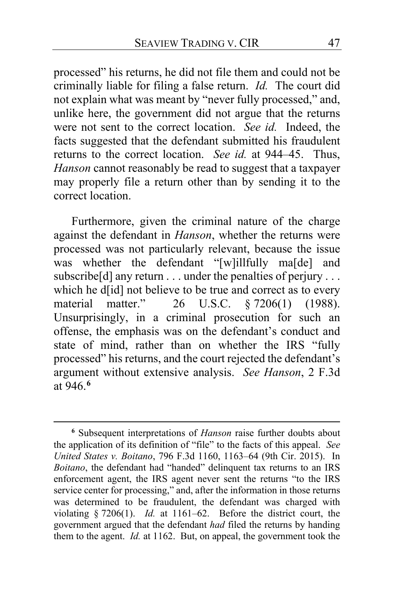processed" his returns, he did not file them and could not be criminally liable for filing a false return. *Id.* The court did not explain what was meant by "never fully processed," and, unlike here, the government did not argue that the returns were not sent to the correct location. *See id.* Indeed, the facts suggested that the defendant submitted his fraudulent returns to the correct location. *See id.* at 944–45. Thus, *Hanson* cannot reasonably be read to suggest that a taxpayer may properly file a return other than by sending it to the correct location.

Furthermore, given the criminal nature of the charge against the defendant in *Hanson*, whether the returns were processed was not particularly relevant, because the issue was whether the defendant "[w]illfully ma[de] and subscribe[d] any return . . . under the penalties of perjury . . . which he d[id] not believe to be true and correct as to every<br>material matter."  $26$  U.S.C.  $87206(1)$  (1988). material matter." 26 U.S.C. § 7206(1) (1988). Unsurprisingly, in a criminal prosecution for such an offense, the emphasis was on the defendant's conduct and state of mind, rather than on whether the IRS "fully processed" his returns, and the court rejected the defendant's argument without extensive analysis. *See Hanson*, 2 F.3d at 946.**[6](#page-46-0)**

<span id="page-46-0"></span>**<sup>6</sup>** Subsequent interpretations of *Hanson* raise further doubts about the application of its definition of "file" to the facts of this appeal. *See United States v. Boitano*, 796 F.3d 1160, 1163–64 (9th Cir. 2015). In *Boitano*, the defendant had "handed" delinquent tax returns to an IRS enforcement agent, the IRS agent never sent the returns "to the IRS service center for processing," and, after the information in those returns was determined to be fraudulent, the defendant was charged with violating § 7206(1). *Id.* at 1161–62. Before the district court, the government argued that the defendant *had* filed the returns by handing them to the agent. *Id.* at 1162. But, on appeal, the government took the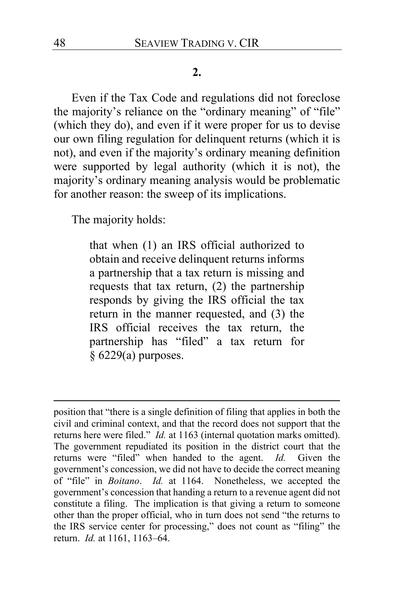### **2.**

Even if the Tax Code and regulations did not foreclose the majority's reliance on the "ordinary meaning" of "file" (which they do), and even if it were proper for us to devise our own filing regulation for delinquent returns (which it is not), and even if the majority's ordinary meaning definition were supported by legal authority (which it is not), the majority's ordinary meaning analysis would be problematic for another reason: the sweep of its implications.

The majority holds:

that when (1) an IRS official authorized to obtain and receive delinquent returns informs a partnership that a tax return is missing and requests that tax return, (2) the partnership responds by giving the IRS official the tax return in the manner requested, and (3) the IRS official receives the tax return, the partnership has "filed" a tax return for § 6229(a) purposes.

position that "there is a single definition of filing that applies in both the civil and criminal context, and that the record does not support that the returns here were filed." *Id.* at 1163 (internal quotation marks omitted). The government repudiated its position in the district court that the returns were "filed" when handed to the agent. *Id.* Given the government's concession, we did not have to decide the correct meaning of "file" in *Boitano*. *Id.* at 1164. Nonetheless, we accepted the government's concession that handing a return to a revenue agent did not constitute a filing. The implication is that giving a return to someone other than the proper official, who in turn does not send "the returns to the IRS service center for processing," does not count as "filing" the return. *Id.* at 1161, 1163–64.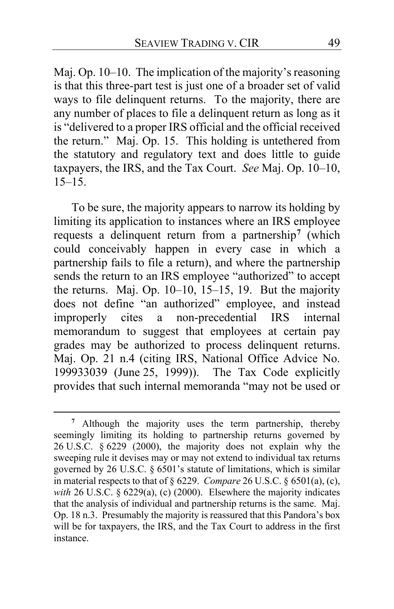Maj. Op[. 10](#page-9-1)[–10.](#page-9-2) The implication of the majority's reasoning is that this three-part test is just one of a broader set of valid ways to file delinquent returns. To the majority, there are any number of places to file a delinquent return as long as it is "delivered to a proper IRS official and the official received the return." Maj. Op. [15.](#page-14-2) This holding is untethered from the statutory and regulatory text and does little to guide taxpayers, the IRS, and the Tax Court. *See* Maj. Op. [10](#page-9-1)[–10,](#page-9-2)  $15-15.$  $15-15.$ 

To be sure, the majority appears to narrow its holding by limiting its application to instances where an IRS employee requests a delinquent return from a partnership**[7](#page-48-0)** (which could conceivably happen in every case in which a partnership fails to file a return), and where the partnership sends the return to an IRS employee "authorized" to accept the returns. Maj. Op. [10](#page-9-1)[–10,](#page-9-2) [15](#page-14-2)[–15,](#page-14-1) [19.](#page-18-0) But the majority does not define "an authorized" employee, and instead improperly cites a non-precedential IRS internal memorandum to suggest that employees at certain pay grades may be authorized to process delinquent returns. Maj. Op. [21](#page-20-1) n.4 (citing IRS, National Office Advice No. 199933039 (June 25, 1999)). The Tax Code explicitly provides that such internal memoranda "may not be used or

<span id="page-48-0"></span>**<sup>7</sup>** Although the majority uses the term partnership, thereby seemingly limiting its holding to partnership returns governed by 26 U.S.C. § 6229 (2000), the majority does not explain why the sweeping rule it devises may or may not extend to individual tax returns governed by 26 U.S.C. § 6501's statute of limitations, which is similar in material respects to that of § 6229. *Compare* 26 U.S.C. § 6501(a), (c), *with* 26 U.S.C. § 6229(a), (c) (2000). Elsewhere the majority indicates that the analysis of individual and partnership returns is the same. Maj. Op. [18](#page-17-0) n.3. Presumably the majority is reassured that this Pandora's box will be for taxpayers, the IRS, and the Tax Court to address in the first instance.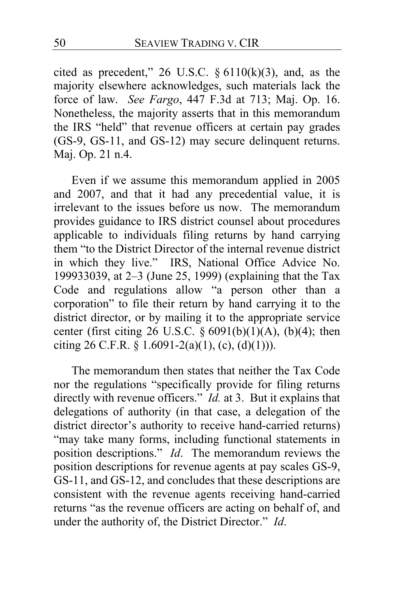cited as precedent," 26 U.S.C.  $\S 6110(k)(3)$ , and, as the majority elsewhere acknowledges, such materials lack the force of law. *See Fargo*, 447 F.3d at 713; Maj. Op. [16.](#page-15-0) Nonetheless, the majority asserts that in this memorandum the IRS "held" that revenue officers at certain pay grades (GS-9, GS-11, and GS-12) may secure delinquent returns. Maj. Op. [21](#page-20-1) n.4.

Even if we assume this memorandum applied in 2005 and 2007, and that it had any precedential value, it is irrelevant to the issues before us now. The memorandum provides guidance to IRS district counsel about procedures applicable to individuals filing returns by hand carrying them "to the District Director of the internal revenue district in which they live." IRS, National Office Advice No. 199933039, at 2–3 (June 25, 1999) (explaining that the Tax Code and regulations allow "a person other than a corporation" to file their return by hand carrying it to the district director, or by mailing it to the appropriate service center (first citing 26 U.S.C.  $\S 6091(b)(1)(A)$ , (b)(4); then citing 26 C.F.R. § 1.6091-2(a)(1), (c), (d)(1))).

The memorandum then states that neither the Tax Code nor the regulations "specifically provide for filing returns directly with revenue officers." *Id.* at 3. But it explains that delegations of authority (in that case, a delegation of the district director's authority to receive hand-carried returns) "may take many forms, including functional statements in position descriptions." *Id*. The memorandum reviews the position descriptions for revenue agents at pay scales GS-9, GS-11, and GS-12, and concludes that these descriptions are consistent with the revenue agents receiving hand-carried returns "as the revenue officers are acting on behalf of, and under the authority of, the District Director." *Id*.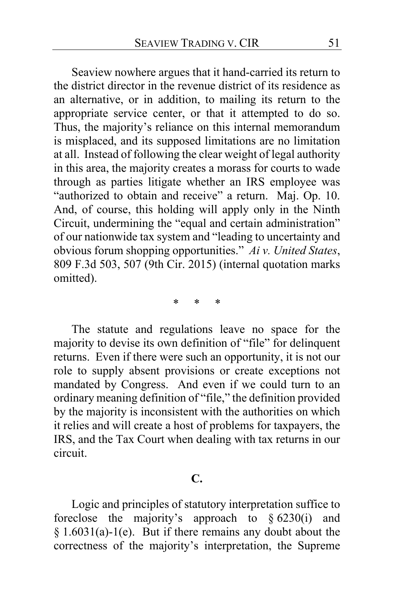Seaview nowhere argues that it hand-carried its return to the district director in the revenue district of its residence as an alternative, or in addition, to mailing its return to the appropriate service center, or that it attempted to do so. Thus, the majority's reliance on this internal memorandum is misplaced, and its supposed limitations are no limitation at all. Instead of following the clear weight of legal authority in this area, the majority creates a morass for courts to wade through as parties litigate whether an IRS employee was "authorized to obtain and receive" a return. Maj. Op. [10.](#page-9-1) And, of course, this holding will apply only in the Ninth Circuit, undermining the "equal and certain administration" of our nationwide tax system and "leading to uncertainty and obvious forum shopping opportunities." *Ai v. United States*, 809 F.3d 503, 507 (9th Cir. 2015) (internal quotation marks omitted).

\* \* \*

The statute and regulations leave no space for the majority to devise its own definition of "file" for delinquent returns. Even if there were such an opportunity, it is not our role to supply absent provisions or create exceptions not mandated by Congress. And even if we could turn to an ordinary meaning definition of "file," the definition provided by the majority is inconsistent with the authorities on which it relies and will create a host of problems for taxpayers, the IRS, and the Tax Court when dealing with tax returns in our circuit.

#### **C.**

Logic and principles of statutory interpretation suffice to foreclose the majority's approach to  $\S$  6230(i) and § 1.6031(a)-1(e). But if there remains any doubt about the correctness of the majority's interpretation, the Supreme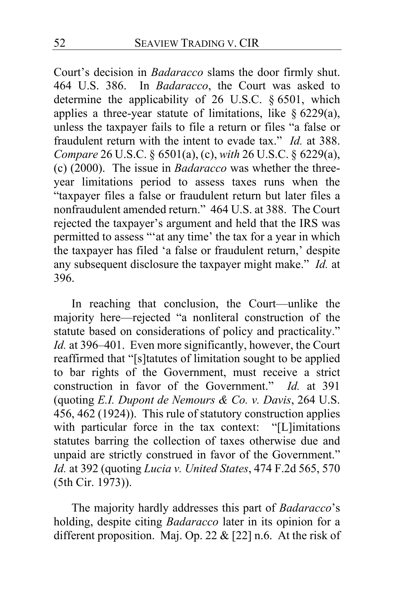Court's decision in *Badaracco* slams the door firmly shut. 464 U.S. 386. In *Badaracco*, the Court was asked to determine the applicability of 26 U.S.C. § 6501, which applies a three-year statute of limitations, like  $\S$  6229(a), unless the taxpayer fails to file a return or files "a false or fraudulent return with the intent to evade tax." *Id.* at 388. *Compare* 26 U.S.C. § 6501(a), (c), *with* 26 U.S.C. § 6229(a), (c) (2000). The issue in *Badaracco* was whether the threeyear limitations period to assess taxes runs when the "taxpayer files a false or fraudulent return but later files a nonfraudulent amended return." 464 U.S. at 388. The Court rejected the taxpayer's argument and held that the IRS was permitted to assess "'at any time' the tax for a year in which the taxpayer has filed 'a false or fraudulent return,' despite any subsequent disclosure the taxpayer might make." *Id.* at 396.

In reaching that conclusion, the Court—unlike the majority here—rejected "a nonliteral construction of the statute based on considerations of policy and practicality." *Id.* at 396–401. Even more significantly, however, the Court reaffirmed that "[s]tatutes of limitation sought to be applied to bar rights of the Government, must receive a strict construction in favor of the Government." *Id.* at 391 (quoting *E.I. Dupont de Nemours & Co. v. Davis*, 264 U.S. 456, 462 (1924)). This rule of statutory construction applies with particular force in the tax context: "[L]imitations statutes barring the collection of taxes otherwise due and unpaid are strictly construed in favor of the Government." *Id.* at 392 (quoting *Lucia v. United States*, 474 F.2d 565, 570 (5th Cir. 1973)).

The majority hardly addresses this part of *Badaracco*'s holding, despite citing *Badaracco* later in its opinion for a different proposition. Maj. Op. [22](#page-21-0) & [\[22\]](#page-21-1) n.6. At the risk of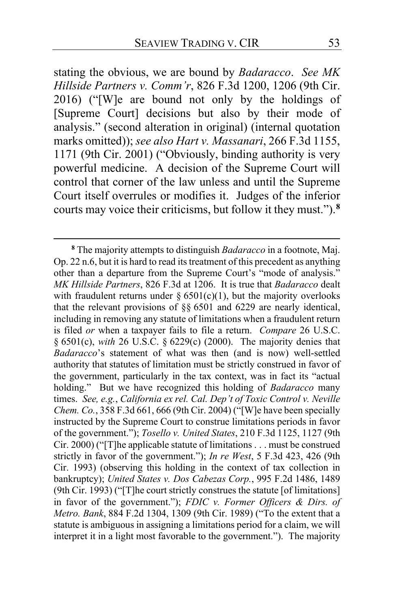stating the obvious, we are bound by *Badaracco*. *See MK Hillside Partners v. Comm'r*, 826 F.3d 1200, 1206 (9th Cir. 2016) ("[W]e are bound not only by the holdings of [Supreme Court] decisions but also by their mode of analysis." (second alteration in original) (internal quotation marks omitted)); *see also Hart v. Massanari*, 266 F.3d 1155, 1171 (9th Cir. 2001) ("Obviously, binding authority is very powerful medicine. A decision of the Supreme Court will control that corner of the law unless and until the Supreme Court itself overrules or modifies it. Judges of the inferior courts may voice their criticisms, but follow it they must.").**[8](#page-52-0)**

<span id="page-52-0"></span>**<sup>8</sup>** The majority attempts to distinguish *Badaracco* in a footnote, Maj. Op[. 22](#page-21-1) n.6, but it is hard to read its treatment of this precedent as anything other than a departure from the Supreme Court's "mode of analysis." *MK Hillside Partners*, 826 F.3d at 1206. It is true that *Badaracco* dealt with fraudulent returns under  $\S 6501(c)(1)$ , but the majority overlooks that the relevant provisions of §§ 6501 and 6229 are nearly identical, including in removing any statute of limitations when a fraudulent return is filed *or* when a taxpayer fails to file a return. *Compare* 26 U.S.C. § 6501(c), *with* 26 U.S.C. § 6229(c) (2000). The majority denies that *Badaracco*'s statement of what was then (and is now) well-settled authority that statutes of limitation must be strictly construed in favor of the government, particularly in the tax context, was in fact its "actual holding." But we have recognized this holding of *Badaracco* many times. *See, e.g.*, *California ex rel. Cal. Dep't of Toxic Control v. Neville Chem. Co.*, 358 F.3d 661, 666 (9th Cir. 2004) ("[W]e have been specially instructed by the Supreme Court to construe limitations periods in favor of the government."); *Tosello v. United States*, 210 F.3d 1125, 1127 (9th Cir. 2000) ("[T]he applicable statute of limitations . . . must be construed strictly in favor of the government."); *In re West*, 5 F.3d 423, 426 (9th Cir. 1993) (observing this holding in the context of tax collection in bankruptcy); *United States v. Dos Cabezas Corp.*, 995 F.2d 1486, 1489 (9th Cir. 1993) ("[T]he court strictly construes the statute [of limitations] in favor of the government."); *FDIC v. Former Officers & Dirs. of Metro. Bank*, 884 F.2d 1304, 1309 (9th Cir. 1989) ("To the extent that a statute is ambiguous in assigning a limitations period for a claim, we will interpret it in a light most favorable to the government."). The majority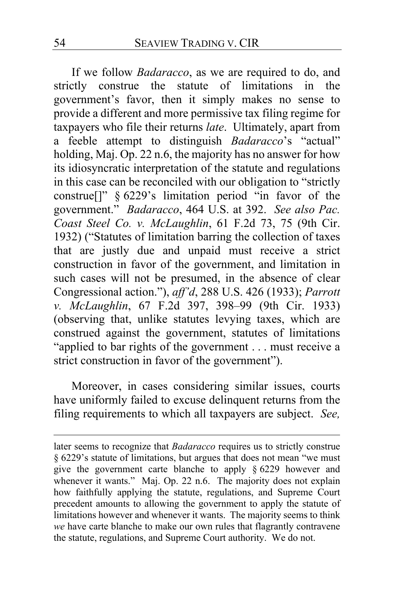If we follow *Badaracco*, as we are required to do, and strictly construe the statute of limitations in the government's favor, then it simply makes no sense to provide a different and more permissive tax filing regime for taxpayers who file their returns *late*. Ultimately, apart from a feeble attempt to distinguish *Badaracco*'s "actual" holding, Maj. Op. [22](#page-21-1) n.6, the majority has no answer for how its idiosyncratic interpretation of the statute and regulations in this case can be reconciled with our obligation to "strictly construe[]" § 6229's limitation period "in favor of the government." *Badaracco*, 464 U.S. at 392. *See also Pac. Coast Steel Co. v. McLaughlin*, 61 F.2d 73, 75 (9th Cir. 1932) ("Statutes of limitation barring the collection of taxes that are justly due and unpaid must receive a strict construction in favor of the government, and limitation in such cases will not be presumed, in the absence of clear Congressional action."), *aff'd*, 288 U.S. 426 (1933); *Parrott v. McLaughlin*, 67 F.2d 397, 398–99 (9th Cir. 1933) (observing that, unlike statutes levying taxes, which are construed against the government, statutes of limitations "applied to bar rights of the government . . . must receive a strict construction in favor of the government").

Moreover, in cases considering similar issues, courts have uniformly failed to excuse delinquent returns from the filing requirements to which all taxpayers are subject. *See,* 

later seems to recognize that *Badaracco* requires us to strictly construe § 6229's statute of limitations, but argues that does not mean "we must give the government carte blanche to apply § 6229 however and whenever it wants." Maj. Op. [22](#page-21-1) n.6. The majority does not explain how faithfully applying the statute, regulations, and Supreme Court precedent amounts to allowing the government to apply the statute of limitations however and whenever it wants. The majority seems to think *we* have carte blanche to make our own rules that flagrantly contravene the statute, regulations, and Supreme Court authority. We do not.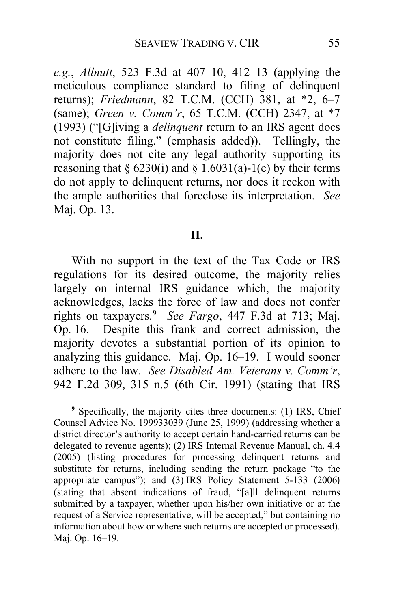*e.g.*, *Allnutt*, 523 F.3d at 407–10, 412–13 (applying the meticulous compliance standard to filing of delinquent returns); *Friedmann*, 82 T.C.M. (CCH) 381, at \*2, 6–7 (same); *Green v. Comm'r*, 65 T.C.M. (CCH) 2347, at \*7 (1993) ("[G]iving a *delinquent* return to an IRS agent does not constitute filing." (emphasis added)). Tellingly, the majority does not cite any legal authority supporting its reasoning that § 6230(i) and § 1.6031(a)-1(e) by their terms do not apply to delinquent returns, nor does it reckon with the ample authorities that foreclose its interpretation. *See*  Maj. Op. [13.](#page-12-5)

#### **II.**

With no support in the text of the Tax Code or IRS regulations for its desired outcome, the majority relies largely on internal IRS guidance which, the majority acknowledges, lacks the force of law and does not confer rights on taxpayers.**[9](#page-54-0)** *See Fargo*, 447 F.3d at 713; Maj. Op. [16.](#page-15-0) Despite this frank and correct admission, the majority devotes a substantial portion of its opinion to analyzing this guidance. Maj. Op. [16](#page-15-1)[–19.](#page-18-1) I would sooner adhere to the law. *See Disabled Am. Veterans v. Comm'r*, 942 F.2d 309, 315 n.5 (6th Cir. 1991) (stating that IRS

<span id="page-54-0"></span>**<sup>9</sup>** Specifically, the majority cites three documents: (1) IRS, Chief Counsel Advice No. 199933039 (June 25, 1999) (addressing whether a district director's authority to accept certain hand-carried returns can be delegated to revenue agents); (2) IRS Internal Revenue Manual, ch. 4.4 (2005) (listing procedures for processing delinquent returns and substitute for returns, including sending the return package "to the appropriate campus"); and (3) IRS Policy Statement 5-133 (2006) (stating that absent indications of fraud, "[a]ll delinquent returns submitted by a taxpayer, whether upon his/her own initiative or at the request of a Service representative, will be accepted," but containing no information about how or where such returns are accepted or processed). Maj. Op. [16–](#page-15-1)[19.](#page-18-1)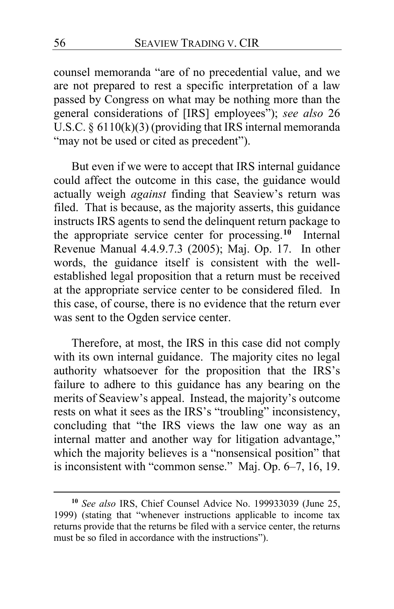counsel memoranda "are of no precedential value, and we are not prepared to rest a specific interpretation of a law passed by Congress on what may be nothing more than the general considerations of [IRS] employees"); *see also* 26 U.S.C.  $\S 6110(k)(3)$  (providing that IRS internal memoranda "may not be used or cited as precedent").

But even if we were to accept that IRS internal guidance could affect the outcome in this case, the guidance would actually weigh *against* finding that Seaview's return was filed. That is because, as the majority asserts, this guidance instructs IRS agents to send the delinquent return package to the appropriate service center for processing.**[10](#page-55-0)** Internal Revenue Manual 4.4.9.7.3 (2005); Maj. Op. [17.](#page-16-0) In other words, the guidance itself is consistent with the wellestablished legal proposition that a return must be received at the appropriate service center to be considered filed. In this case, of course, there is no evidence that the return ever was sent to the Ogden service center.

Therefore, at most, the IRS in this case did not comply with its own internal guidance. The majority cites no legal authority whatsoever for the proposition that the IRS's failure to adhere to this guidance has any bearing on the merits of Seaview's appeal. Instead, the majority's outcome rests on what it sees as the IRS's "troubling" inconsistency, concluding that "the IRS views the law one way as an internal matter and another way for litigation advantage," which the majority believes is a "nonsensical position" that is inconsistent with "common sense." Maj. Op. [6–](#page-5-0)[7,](#page-6-0) [16,](#page-15-2) [19.](#page-18-0)

<span id="page-55-0"></span>**<sup>10</sup>** *See also* IRS, Chief Counsel Advice No. 199933039 (June 25, 1999) (stating that "whenever instructions applicable to income tax returns provide that the returns be filed with a service center, the returns must be so filed in accordance with the instructions").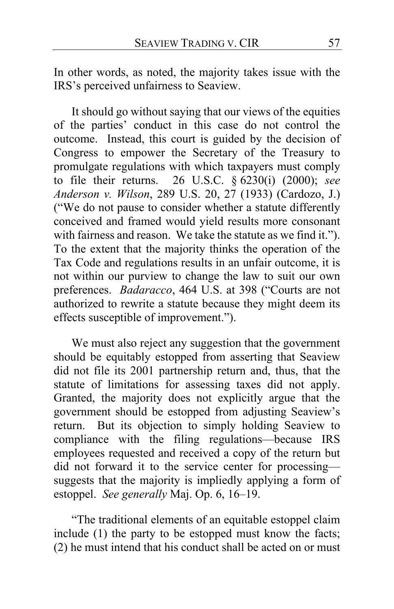In other words, as noted, the majority takes issue with the IRS's perceived unfairness to Seaview.

It should go without saying that our views of the equities of the parties' conduct in this case do not control the outcome. Instead, this court is guided by the decision of Congress to empower the Secretary of the Treasury to promulgate regulations with which taxpayers must comply to file their returns. 26 U.S.C. § 6230(i) (2000); *see Anderson v. Wilson*, 289 U.S. 20, 27 (1933) (Cardozo, J.) ("We do not pause to consider whether a statute differently conceived and framed would yield results more consonant with fairness and reason. We take the statute as we find it."). To the extent that the majority thinks the operation of the Tax Code and regulations results in an unfair outcome, it is not within our purview to change the law to suit our own preferences. *Badaracco*, 464 U.S. at 398 ("Courts are not authorized to rewrite a statute because they might deem its effects susceptible of improvement.").

We must also reject any suggestion that the government should be equitably estopped from asserting that Seaview did not file its 2001 partnership return and, thus, that the statute of limitations for assessing taxes did not apply. Granted, the majority does not explicitly argue that the government should be estopped from adjusting Seaview's return. But its objection to simply holding Seaview to compliance with the filing regulations—because IRS employees requested and received a copy of the return but did not forward it to the service center for processing suggests that the majority is impliedly applying a form of estoppel. *See generally* Maj. Op. [6,](#page-5-1) [16–](#page-15-1)[19.](#page-18-1)

"The traditional elements of an equitable estoppel claim include (1) the party to be estopped must know the facts; (2) he must intend that his conduct shall be acted on or must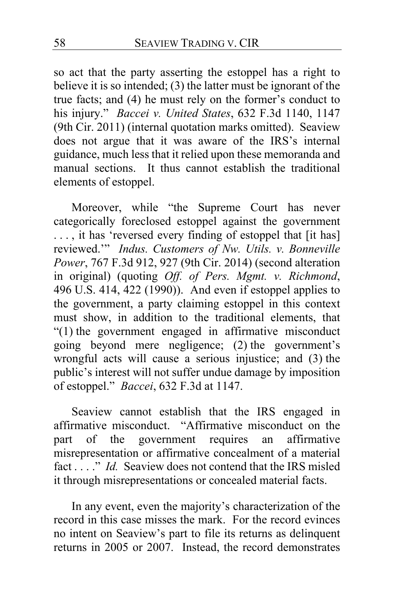so act that the party asserting the estoppel has a right to believe it is so intended; (3) the latter must be ignorant of the true facts; and (4) he must rely on the former's conduct to his injury." *Baccei v. United States*, 632 F.3d 1140, 1147 (9th Cir. 2011) (internal quotation marks omitted). Seaview does not argue that it was aware of the IRS's internal guidance, much less that it relied upon these memoranda and manual sections. It thus cannot establish the traditional elements of estoppel.

Moreover, while "the Supreme Court has never categorically foreclosed estoppel against the government ..., it has 'reversed every finding of estoppel that [it has] reviewed.'" *Indus. Customers of Nw. Utils. v. Bonneville Power*, 767 F.3d 912, 927 (9th Cir. 2014) (second alteration in original) (quoting *Off. of Pers. Mgmt. v. Richmond*, 496 U.S. 414, 422 (1990)). And even if estoppel applies to the government, a party claiming estoppel in this context must show, in addition to the traditional elements, that "(1) the government engaged in affirmative misconduct" going beyond mere negligence; (2) the government's wrongful acts will cause a serious injustice; and (3) the public's interest will not suffer undue damage by imposition of estoppel." *Baccei*, 632 F.3d at 1147.

Seaview cannot establish that the IRS engaged in affirmative misconduct. "Affirmative misconduct on the part of the government requires an affirmative misrepresentation or affirmative concealment of a material fact . . . ." *Id.* Seaview does not contend that the IRS misled it through misrepresentations or concealed material facts.

In any event, even the majority's characterization of the record in this case misses the mark. For the record evinces no intent on Seaview's part to file its returns as delinquent returns in 2005 or 2007. Instead, the record demonstrates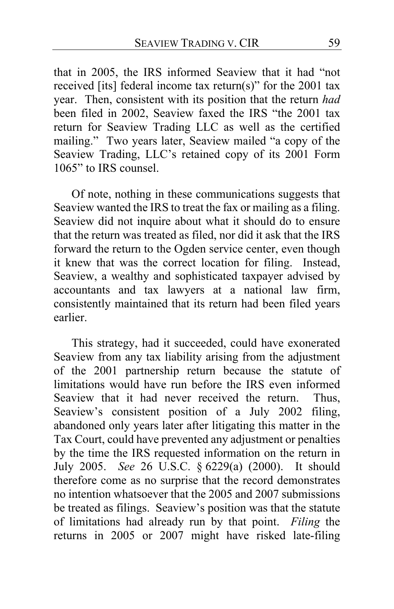that in 2005, the IRS informed Seaview that it had "not received [its] federal income tax return(s)" for the 2001 tax year. Then, consistent with its position that the return *had*  been filed in 2002, Seaview faxed the IRS "the 2001 tax return for Seaview Trading LLC as well as the certified mailing." Two years later, Seaview mailed "a copy of the Seaview Trading, LLC's retained copy of its 2001 Form 1065" to IRS counsel.

Of note, nothing in these communications suggests that Seaview wanted the IRS to treat the fax or mailing as a filing. Seaview did not inquire about what it should do to ensure that the return was treated as filed, nor did it ask that the IRS forward the return to the Ogden service center, even though it knew that was the correct location for filing. Instead, Seaview, a wealthy and sophisticated taxpayer advised by accountants and tax lawyers at a national law firm, consistently maintained that its return had been filed years earlier.

This strategy, had it succeeded, could have exonerated Seaview from any tax liability arising from the adjustment of the 2001 partnership return because the statute of limitations would have run before the IRS even informed Seaview that it had never received the return. Thus, Seaview's consistent position of a July 2002 filing, abandoned only years later after litigating this matter in the Tax Court, could have prevented any adjustment or penalties by the time the IRS requested information on the return in July 2005. *See* 26 U.S.C. § 6229(a) (2000). It should therefore come as no surprise that the record demonstrates no intention whatsoever that the 2005 and 2007 submissions be treated as filings. Seaview's position was that the statute of limitations had already run by that point. *Filing* the returns in 2005 or 2007 might have risked late-filing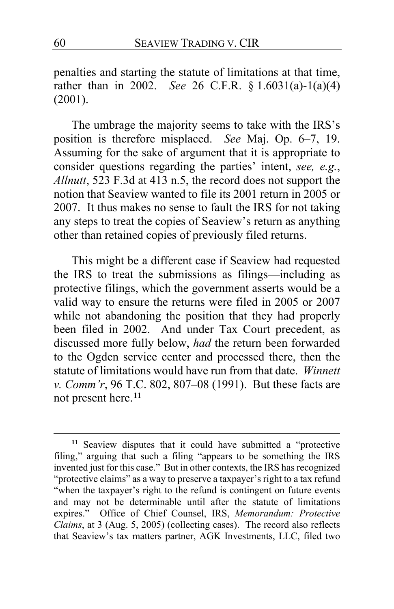penalties and starting the statute of limitations at that time, rather than in 2002. *See* 26 C.F.R. § 1.6031(a)-1(a)(4) (2001).

The umbrage the majority seems to take with the IRS's position is therefore misplaced. *See* Maj. Op. [6–](#page-5-0)[7,](#page-6-0) [19.](#page-18-2) Assuming for the sake of argument that it is appropriate to consider questions regarding the parties' intent, *see, e.g.*, *Allnutt*, 523 F.3d at 413 n.5, the record does not support the notion that Seaview wanted to file its 2001 return in 2005 or 2007. It thus makes no sense to fault the IRS for not taking any steps to treat the copies of Seaview's return as anything other than retained copies of previously filed returns.

This might be a different case if Seaview had requested the IRS to treat the submissions as filings—including as protective filings, which the government asserts would be a valid way to ensure the returns were filed in 2005 or 2007 while not abandoning the position that they had properly been filed in 2002. And under Tax Court precedent, as discussed more fully below, *had* the return been forwarded to the Ogden service center and processed there, then the statute of limitations would have run from that date. *Winnett v. Comm'r*, 96 T.C. 802, 807–08 (1991). But these facts are not present here.**[11](#page-59-0)**

<span id="page-59-0"></span>**<sup>11</sup>** Seaview disputes that it could have submitted a "protective filing," arguing that such a filing "appears to be something the IRS invented just for this case." But in other contexts, the IRS has recognized "protective claims" as a way to preserve a taxpayer's right to a tax refund "when the taxpayer's right to the refund is contingent on future events and may not be determinable until after the statute of limitations expires." Office of Chief Counsel, IRS, *Memorandum: Protective Claims*, at 3 (Aug. 5, 2005) (collecting cases). The record also reflects that Seaview's tax matters partner, AGK Investments, LLC, filed two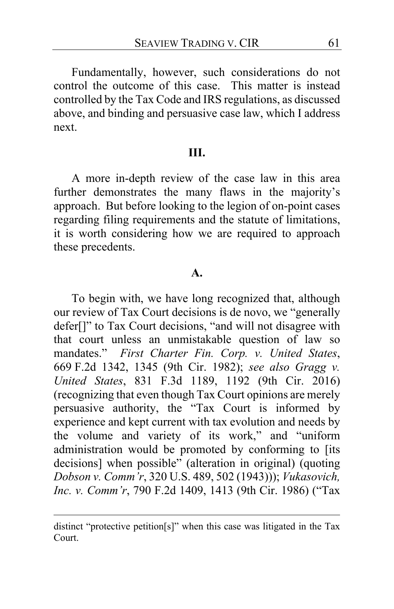Fundamentally, however, such considerations do not control the outcome of this case. This matter is instead controlled by the Tax Code and IRS regulations, as discussed above, and binding and persuasive case law, which I address next.

### **III.**

A more in-depth review of the case law in this area further demonstrates the many flaws in the majority's approach. But before looking to the legion of on-point cases regarding filing requirements and the statute of limitations, it is worth considering how we are required to approach these precedents.

### **A.**

To begin with, we have long recognized that, although our review of Tax Court decisions is de novo, we "generally defer[]" to Tax Court decisions, "and will not disagree with that court unless an unmistakable question of law so mandates." *First Charter Fin. Corp. v. United States*, 669 F.2d 1342, 1345 (9th Cir. 1982); *see also Gragg v. United States*, 831 F.3d 1189, 1192 (9th Cir. 2016) (recognizing that even though Tax Court opinions are merely persuasive authority, the "Tax Court is informed by experience and kept current with tax evolution and needs by the volume and variety of its work," and "uniform administration would be promoted by conforming to [its decisions] when possible" (alteration in original) (quoting *Dobson v. Comm'r*, 320 U.S. 489, 502 (1943))); *Vukasovich, Inc. v. Comm'r*, 790 F.2d 1409, 1413 (9th Cir. 1986) ("Tax

distinct "protective petition[s]" when this case was litigated in the Tax Court.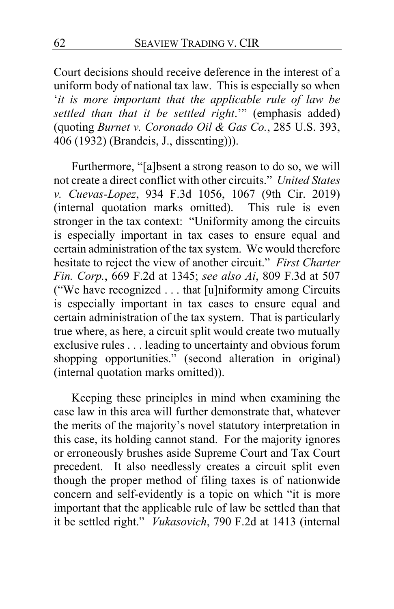Court decisions should receive deference in the interest of a uniform body of national tax law. This is especially so when '*it is more important that the applicable rule of law be settled than that it be settled right*.'" (emphasis added) (quoting *Burnet v. Coronado Oil & Gas Co.*, 285 U.S. 393, 406 (1932) (Brandeis, J., dissenting))).

Furthermore, "[a]bsent a strong reason to do so, we will not create a direct conflict with other circuits." *United States v. Cuevas-Lopez*, 934 F.3d 1056, 1067 (9th Cir. 2019) (internal quotation marks omitted). This rule is even stronger in the tax context: "Uniformity among the circuits is especially important in tax cases to ensure equal and certain administration of the tax system. We would therefore hesitate to reject the view of another circuit." *First Charter Fin. Corp.*, 669 F.2d at 1345; *see also Ai*, 809 F.3d at 507 ("We have recognized . . . that [u]niformity among Circuits is especially important in tax cases to ensure equal and certain administration of the tax system. That is particularly true where, as here, a circuit split would create two mutually exclusive rules . . . leading to uncertainty and obvious forum shopping opportunities." (second alteration in original) (internal quotation marks omitted)).

Keeping these principles in mind when examining the case law in this area will further demonstrate that, whatever the merits of the majority's novel statutory interpretation in this case, its holding cannot stand. For the majority ignores or erroneously brushes aside Supreme Court and Tax Court precedent. It also needlessly creates a circuit split even though the proper method of filing taxes is of nationwide concern and self-evidently is a topic on which "it is more important that the applicable rule of law be settled than that it be settled right." *Vukasovich*, 790 F.2d at 1413 (internal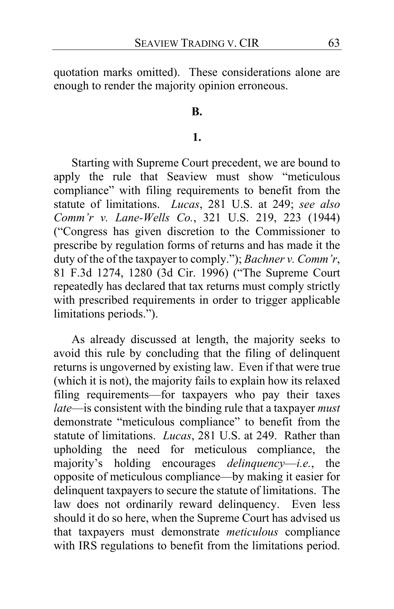quotation marks omitted). These considerations alone are enough to render the majority opinion erroneous.

## **B.**

## **1.**

Starting with Supreme Court precedent, we are bound to apply the rule that Seaview must show "meticulous compliance" with filing requirements to benefit from the statute of limitations. *Lucas*, 281 U.S. at 249; *see also Comm'r v. Lane-Wells Co.*, 321 U.S. 219, 223 (1944) ("Congress has given discretion to the Commissioner to prescribe by regulation forms of returns and has made it the duty of the of the taxpayer to comply."); *Bachner v. Comm'r*, 81 F.3d 1274, 1280 (3d Cir. 1996) ("The Supreme Court repeatedly has declared that tax returns must comply strictly with prescribed requirements in order to trigger applicable limitations periods.").

As already discussed at length, the majority seeks to avoid this rule by concluding that the filing of delinquent returns is ungoverned by existing law. Even if that were true (which it is not), the majority fails to explain how its relaxed filing requirements—for taxpayers who pay their taxes *late*—is consistent with the binding rule that a taxpayer *must* demonstrate "meticulous compliance" to benefit from the statute of limitations. *Lucas*, 281 U.S. at 249. Rather than upholding the need for meticulous compliance, the majority's holding encourages *delinquency*—*i.e.*, the opposite of meticulous compliance—by making it easier for delinquent taxpayers to secure the statute of limitations. The law does not ordinarily reward delinquency. Even less should it do so here, when the Supreme Court has advised us that taxpayers must demonstrate *meticulous* compliance with IRS regulations to benefit from the limitations period.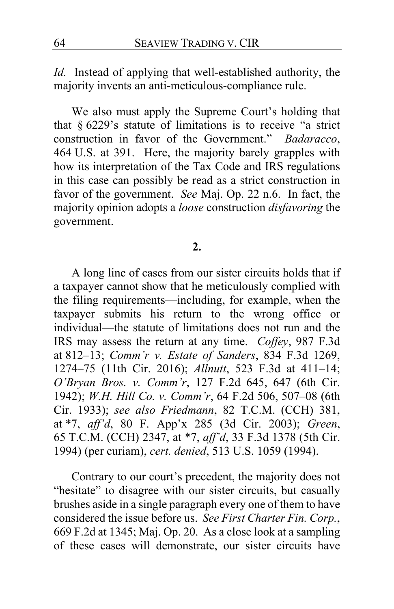*Id.* Instead of applying that well-established authority, the majority invents an anti-meticulous-compliance rule.

We also must apply the Supreme Court's holding that that § 6229's statute of limitations is to receive "a strict construction in favor of the Government." *Badaracco*, 464 U.S. at 391. Here, the majority barely grapples with how its interpretation of the Tax Code and IRS regulations in this case can possibly be read as a strict construction in favor of the government. *See* Maj. Op. [22](#page-21-1) n.6. In fact, the majority opinion adopts a *loose* construction *disfavoring* the government.

### **2.**

A long line of cases from our sister circuits holds that if a taxpayer cannot show that he meticulously complied with the filing requirements—including, for example, when the taxpayer submits his return to the wrong office or individual—the statute of limitations does not run and the IRS may assess the return at any time. *Coffey*, 987 F.3d at 812–13; *Comm'r v. Estate of Sanders*, 834 F.3d 1269, 1274–75 (11th Cir. 2016); *Allnutt*, 523 F.3d at 411–14; *O'Bryan Bros. v. Comm'r*, 127 F.2d 645, 647 (6th Cir. 1942); *W.H. Hill Co. v. Comm'r*, 64 F.2d 506, 507–08 (6th Cir. 1933); *see also Friedmann*, 82 T.C.M. (CCH) 381, at \*7, *aff'd*, 80 F. App'x 285 (3d Cir. 2003); *Green*, 65 T.C.M. (CCH) 2347, at \*7, *aff'd*, 33 F.3d 1378 (5th Cir. 1994) (per curiam), *cert. denied*, 513 U.S. 1059 (1994).

Contrary to our court's precedent, the majority does not "hesitate" to disagree with our sister circuits, but casually brushes aside in a single paragraph every one of them to have considered the issue before us. *See First Charter Fin. Corp.*, 669 F.2d at 1345; Maj. Op. [20.](#page-19-1) As a close look at a sampling of these cases will demonstrate, our sister circuits have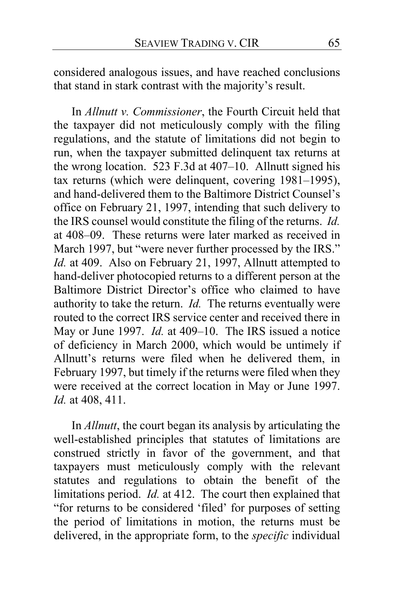considered analogous issues, and have reached conclusions that stand in stark contrast with the majority's result.

In *Allnutt v. Commissioner*, the Fourth Circuit held that the taxpayer did not meticulously comply with the filing regulations, and the statute of limitations did not begin to run, when the taxpayer submitted delinquent tax returns at the wrong location. 523 F.3d at 407–10. Allnutt signed his tax returns (which were delinquent, covering 1981–1995), and hand-delivered them to the Baltimore District Counsel's office on February 21, 1997, intending that such delivery to the IRS counsel would constitute the filing of the returns. *Id.*  at 408–09. These returns were later marked as received in March 1997, but "were never further processed by the IRS." *Id.* at 409. Also on February 21, 1997, Allnutt attempted to hand-deliver photocopied returns to a different person at the Baltimore District Director's office who claimed to have authority to take the return. *Id.* The returns eventually were routed to the correct IRS service center and received there in May or June 1997. *Id.* at 409–10. The IRS issued a notice of deficiency in March 2000, which would be untimely if Allnutt's returns were filed when he delivered them, in February 1997, but timely if the returns were filed when they were received at the correct location in May or June 1997. *Id.* at 408, 411.

In *Allnutt*, the court began its analysis by articulating the well-established principles that statutes of limitations are construed strictly in favor of the government, and that taxpayers must meticulously comply with the relevant statutes and regulations to obtain the benefit of the limitations period. *Id.* at 412. The court then explained that "for returns to be considered 'filed' for purposes of setting the period of limitations in motion, the returns must be delivered, in the appropriate form, to the *specific* individual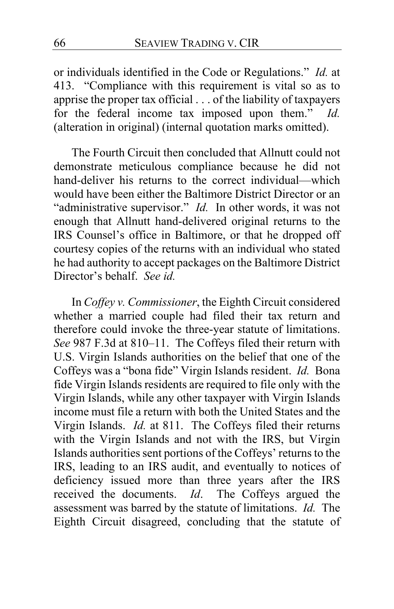or individuals identified in the Code or Regulations." *Id.* at 413. "Compliance with this requirement is vital so as to apprise the proper tax official . . . of the liability of taxpayers for the federal income tax imposed upon them." *Id.*  (alteration in original) (internal quotation marks omitted).

The Fourth Circuit then concluded that Allnutt could not demonstrate meticulous compliance because he did not hand-deliver his returns to the correct individual—which would have been either the Baltimore District Director or an "administrative supervisor." *Id.* In other words, it was not enough that Allnutt hand-delivered original returns to the IRS Counsel's office in Baltimore, or that he dropped off courtesy copies of the returns with an individual who stated he had authority to accept packages on the Baltimore District Director's behalf. *See id.*

In *Coffey v. Commissioner*, the Eighth Circuit considered whether a married couple had filed their tax return and therefore could invoke the three-year statute of limitations. *See* 987 F.3d at 810–11. The Coffeys filed their return with U.S. Virgin Islands authorities on the belief that one of the Coffeys was a "bona fide" Virgin Islands resident. *Id.* Bona fide Virgin Islands residents are required to file only with the Virgin Islands, while any other taxpayer with Virgin Islands income must file a return with both the United States and the Virgin Islands. *Id.* at 811. The Coffeys filed their returns with the Virgin Islands and not with the IRS, but Virgin Islands authorities sent portions of the Coffeys' returns to the IRS, leading to an IRS audit, and eventually to notices of deficiency issued more than three years after the IRS received the documents. *Id*. The Coffeys argued the assessment was barred by the statute of limitations. *Id.* The Eighth Circuit disagreed, concluding that the statute of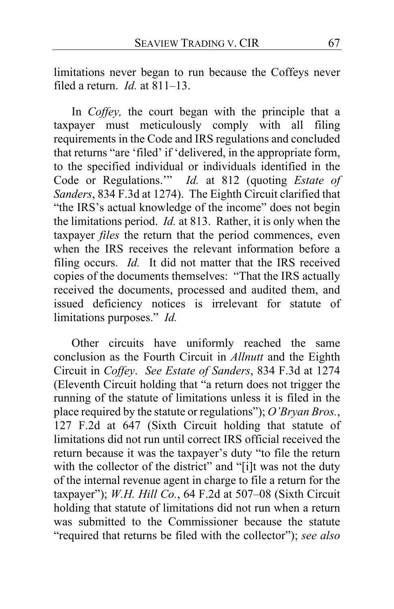limitations never began to run because the Coffeys never filed a return. *Id.* at 811–13.

In *Coffey,* the court began with the principle that a taxpayer must meticulously comply with all filing requirements in the Code and IRS regulations and concluded that returns "are 'filed' if 'delivered, in the appropriate form, to the specified individual or individuals identified in the Code or Regulations.'" *Id.* at 812 (quoting *Estate of Sanders*, 834 F.3d at 1274). The Eighth Circuit clarified that "the IRS's actual knowledge of the income" does not begin the limitations period. *Id.* at 813. Rather, it is only when the taxpayer *files* the return that the period commences, even when the IRS receives the relevant information before a filing occurs. *Id.* It did not matter that the IRS received copies of the documents themselves: "That the IRS actually received the documents, processed and audited them, and issued deficiency notices is irrelevant for statute of limitations purposes." *Id.*

Other circuits have uniformly reached the same conclusion as the Fourth Circuit in *Allnutt* and the Eighth Circuit in *Coffey*. *See Estate of Sanders*, 834 F.3d at 1274 (Eleventh Circuit holding that "a return does not trigger the running of the statute of limitations unless it is filed in the place required by the statute or regulations"); *O'Bryan Bros.*, 127 F.2d at 647 (Sixth Circuit holding that statute of limitations did not run until correct IRS official received the return because it was the taxpayer's duty "to file the return with the collector of the district" and "[i]t was not the duty of the internal revenue agent in charge to file a return for the taxpayer"); *W.H. Hill Co.*, 64 F.2d at 507–08 (Sixth Circuit holding that statute of limitations did not run when a return was submitted to the Commissioner because the statute "required that returns be filed with the collector"); *see also*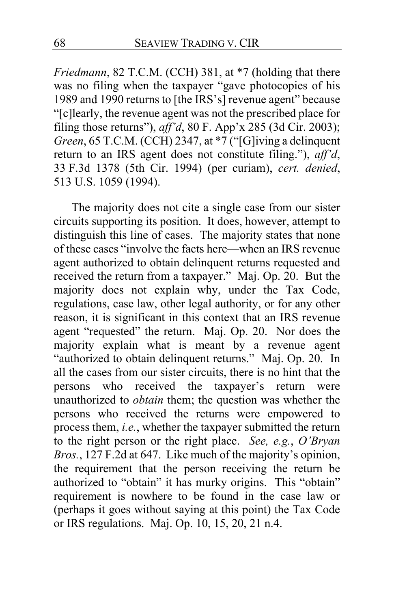*Friedmann*, 82 T.C.M. (CCH) 381, at \*7 (holding that there was no filing when the taxpayer "gave photocopies of his 1989 and 1990 returns to [the IRS's] revenue agent" because "[c]learly, the revenue agent was not the prescribed place for filing those returns"), *aff'd*, 80 F. App'x 285 (3d Cir. 2003); *Green*, 65 T.C.M. (CCH) 2347, at \*7 ("[G]iving a delinquent return to an IRS agent does not constitute filing."), *aff'd*, 33 F.3d 1378 (5th Cir. 1994) (per curiam), *cert. denied*, 513 U.S. 1059 (1994).

The majority does not cite a single case from our sister circuits supporting its position. It does, however, attempt to distinguish this line of cases. The majority states that none of these cases "involve the facts here—when an IRS revenue agent authorized to obtain delinquent returns requested and received the return from a taxpayer." Maj. Op. [20.](#page-19-1) But the majority does not explain why, under the Tax Code, regulations, case law, other legal authority, or for any other reason, it is significant in this context that an IRS revenue agent "requested" the return. Maj. Op. [20.](#page-19-2) Nor does the majority explain what is meant by a revenue agent "authorized to obtain delinquent returns." Maj. Op. [20.](#page-19-1) In all the cases from our sister circuits, there is no hint that the persons who received the taxpayer's return were unauthorized to *obtain* them; the question was whether the persons who received the returns were empowered to process them, *i.e.*, whether the taxpayer submitted the return to the right person or the right place. *See, e.g.*, *O'Bryan Bros.*, 127 F.2d at 647. Like much of the majority's opinion, the requirement that the person receiving the return be authorized to "obtain" it has murky origins. This "obtain" requirement is nowhere to be found in the case law or (perhaps it goes without saying at this point) the Tax Code or IRS regulations. Maj. Op. [10,](#page-9-1) [15,](#page-14-2) [20,](#page-19-1) [21](#page-20-1) n.4.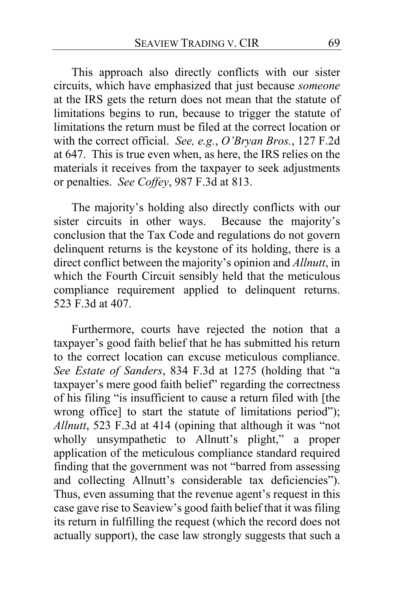This approach also directly conflicts with our sister circuits, which have emphasized that just because *someone* at the IRS gets the return does not mean that the statute of limitations begins to run, because to trigger the statute of limitations the return must be filed at the correct location or with the correct official. *See, e.g.*, *O'Bryan Bros.*, 127 F.2d at 647. This is true even when, as here, the IRS relies on the materials it receives from the taxpayer to seek adjustments or penalties. *See Coffey*, 987 F.3d at 813.

The majority's holding also directly conflicts with our sister circuits in other ways. Because the majority's conclusion that the Tax Code and regulations do not govern delinquent returns is the keystone of its holding, there is a direct conflict between the majority's opinion and *Allnutt*, in which the Fourth Circuit sensibly held that the meticulous compliance requirement applied to delinquent returns. 523 F.3d at 407.

Furthermore, courts have rejected the notion that a taxpayer's good faith belief that he has submitted his return to the correct location can excuse meticulous compliance. *See Estate of Sanders*, 834 F.3d at 1275 (holding that "a taxpayer's mere good faith belief" regarding the correctness of his filing "is insufficient to cause a return filed with [the wrong office] to start the statute of limitations period"); *Allnutt*, 523 F.3d at 414 (opining that although it was "not wholly unsympathetic to Allnutt's plight," a proper application of the meticulous compliance standard required finding that the government was not "barred from assessing and collecting Allnutt's considerable tax deficiencies"). Thus, even assuming that the revenue agent's request in this case gave rise to Seaview's good faith belief that it was filing its return in fulfilling the request (which the record does not actually support), the case law strongly suggests that such a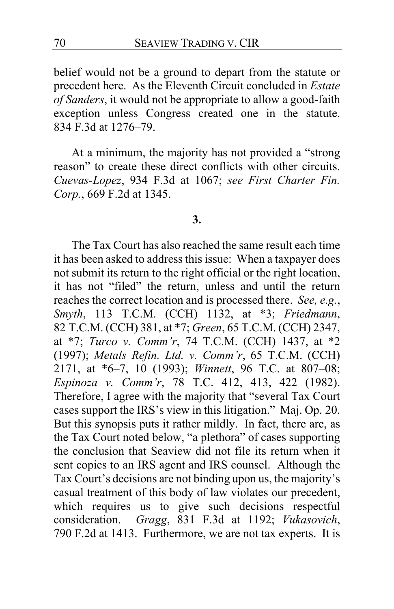belief would not be a ground to depart from the statute or precedent here. As the Eleventh Circuit concluded in *Estate of Sanders*, it would not be appropriate to allow a good-faith exception unless Congress created one in the statute. 834 F.3d at 1276–79.

At a minimum, the majority has not provided a "strong reason" to create these direct conflicts with other circuits. *Cuevas-Lopez*, 934 F.3d at 1067; *see First Charter Fin. Corp.*, 669 F.2d at 1345.

#### **3.**

The Tax Court has also reached the same result each time it has been asked to address this issue: When a taxpayer does not submit its return to the right official or the right location, it has not "filed" the return, unless and until the return reaches the correct location and is processed there. *See, e.g.*, *Smyth*, 113 T.C.M. (CCH) 1132, at \*3; *Friedmann*, 82 T.C.M. (CCH) 381, at \*7; *Green*, 65 T.C.M. (CCH) 2347, at \*7; *Turco v. Comm'r*, 74 T.C.M. (CCH) 1437, at \*2 (1997); *Metals Refin. Ltd. v. Comm'r*, 65 T.C.M. (CCH) 2171, at \*6–7, 10 (1993); *Winnett*, 96 T.C. at 807–08; *Espinoza v. Comm'r*, 78 T.C. 412, 413, 422 (1982). Therefore, I agree with the majority that "several Tax Court cases support the IRS's view in this litigation." Maj. Op. [20.](#page-19-3) But this synopsis puts it rather mildly. In fact, there are, as the Tax Court noted below, "a plethora" of cases supporting the conclusion that Seaview did not file its return when it sent copies to an IRS agent and IRS counsel. Although the Tax Court's decisions are not binding upon us, the majority's casual treatment of this body of law violates our precedent, which requires us to give such decisions respectful consideration. *Gragg*, 831 F.3d at 1192; *Vukasovich*, 790 F.2d at 1413. Furthermore, we are not tax experts. It is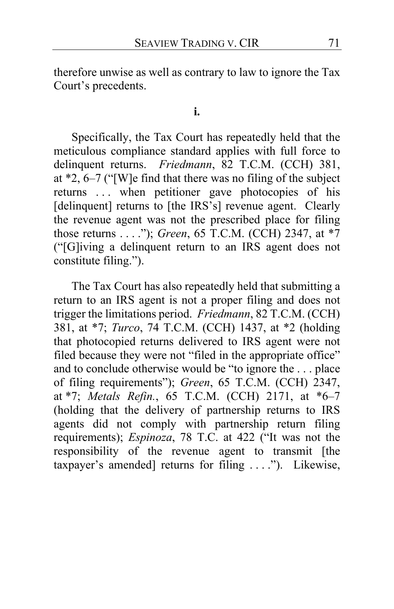therefore unwise as well as contrary to law to ignore the Tax Court's precedents.

#### **i.**

Specifically, the Tax Court has repeatedly held that the meticulous compliance standard applies with full force to delinquent returns. *Friedmann*, 82 T.C.M. (CCH) 381, at \*2, 6–7 ("[W]e find that there was no filing of the subject returns . . . when petitioner gave photocopies of his [delinquent] returns to [the IRS's] revenue agent. Clearly the revenue agent was not the prescribed place for filing those returns . . . ."); *Green*, 65 T.C.M. (CCH) 2347, at \*7 ("[G]iving a delinquent return to an IRS agent does not constitute filing.").

The Tax Court has also repeatedly held that submitting a return to an IRS agent is not a proper filing and does not trigger the limitations period. *Friedmann*, 82 T.C.M. (CCH) 381, at \*7; *Turco*, 74 T.C.M. (CCH) 1437, at \*2 (holding that photocopied returns delivered to IRS agent were not filed because they were not "filed in the appropriate office" and to conclude otherwise would be "to ignore the . . . place of filing requirements"); *Green*, 65 T.C.M. (CCH) 2347, at \*7; *Metals Refin.*, 65 T.C.M. (CCH) 2171, at \*6–7 (holding that the delivery of partnership returns to IRS agents did not comply with partnership return filing requirements); *Espinoza*, 78 T.C. at 422 ("It was not the responsibility of the revenue agent to transmit [the taxpayer's amended] returns for filing . . . ."). Likewise,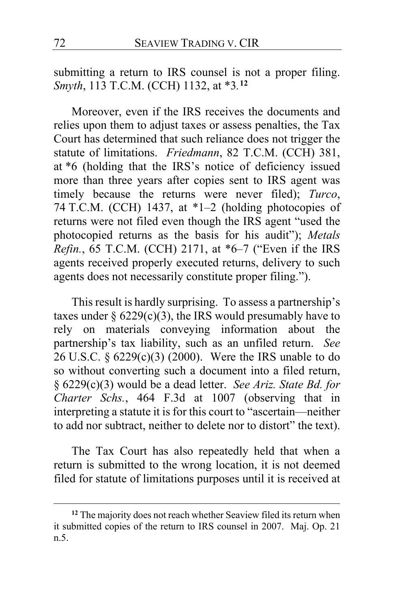submitting a return to IRS counsel is not a proper filing. *Smyth*, 113 T.C.M. (CCH) 1132, at \*3*.* **[12](#page-71-0)**

Moreover, even if the IRS receives the documents and relies upon them to adjust taxes or assess penalties, the Tax Court has determined that such reliance does not trigger the statute of limitations. *Friedmann*, 82 T.C.M. (CCH) 381, at \*6 (holding that the IRS's notice of deficiency issued more than three years after copies sent to IRS agent was timely because the returns were never filed); *Turco*, 74 T.C.M. (CCH) 1437, at \*1–2 (holding photocopies of returns were not filed even though the IRS agent "used the photocopied returns as the basis for his audit"); *Metals Refin.*, 65 T.C.M. (CCH) 2171, at \*6–7 ("Even if the IRS agents received properly executed returns, delivery to such agents does not necessarily constitute proper filing.").

This result is hardly surprising. To assess a partnership's taxes under  $\S~6229(c)(3)$ , the IRS would presumably have to rely on materials conveying information about the partnership's tax liability, such as an unfiled return. *See*  26 U.S.C. § 6229(c)(3) (2000). Were the IRS unable to do so without converting such a document into a filed return, § 6229(c)(3) would be a dead letter. *See Ariz. State Bd. for Charter Schs.*, 464 F.3d at 1007 (observing that in interpreting a statute it is for this court to "ascertain—neither to add nor subtract, neither to delete nor to distort" the text).

The Tax Court has also repeatedly held that when a return is submitted to the wrong location, it is not deemed filed for statute of limitations purposes until it is received at

<span id="page-71-0"></span>**<sup>12</sup>** The majority does not reach whether Seaview filed its return when it submitted copies of the return to IRS counsel in 2007. Maj. Op. [21](#page-20-1) n.5.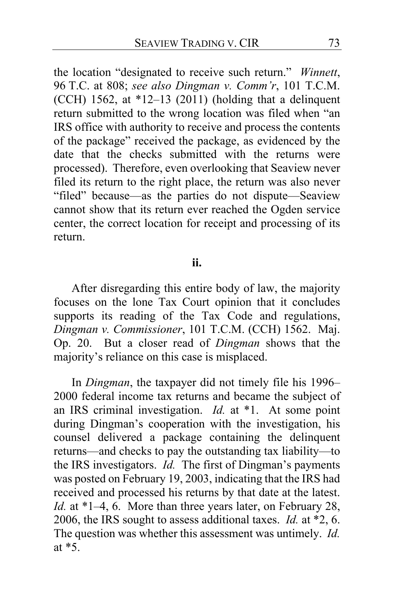the location "designated to receive such return." *Winnett*, 96 T.C. at 808; *see also Dingman v. Comm'r*, 101 T.C.M. (CCH) 1562, at  $*12-13$  (2011) (holding that a delinquent return submitted to the wrong location was filed when "an IRS office with authority to receive and process the contents of the package" received the package, as evidenced by the date that the checks submitted with the returns were processed). Therefore, even overlooking that Seaview never filed its return to the right place, the return was also never "filed" because—as the parties do not dispute—Seaview cannot show that its return ever reached the Ogden service center, the correct location for receipt and processing of its return.

## **ii.**

After disregarding this entire body of law, the majority focuses on the lone Tax Court opinion that it concludes supports its reading of the Tax Code and regulations, *Dingman v. Commissioner*, 101 T.C.M. (CCH) 1562. Maj. Op. [20.](#page-19-0) But a closer read of *Dingman* shows that the majority's reliance on this case is misplaced.

In *Dingman*, the taxpayer did not timely file his 1996– 2000 federal income tax returns and became the subject of an IRS criminal investigation. *Id.* at \*1. At some point during Dingman's cooperation with the investigation, his counsel delivered a package containing the delinquent returns—and checks to pay the outstanding tax liability—to the IRS investigators. *Id.* The first of Dingman's payments was posted on February 19, 2003, indicating that the IRS had received and processed his returns by that date at the latest. *Id.* at \*1–4, 6. More than three years later, on February 28, 2006, the IRS sought to assess additional taxes. *Id.* at \*2, 6. The question was whether this assessment was untimely. *Id.*  at \*5.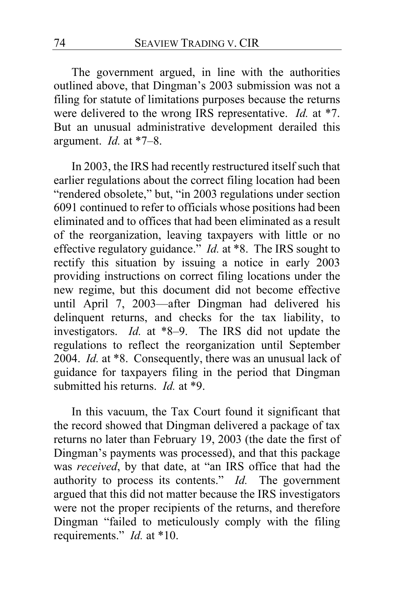The government argued, in line with the authorities outlined above, that Dingman's 2003 submission was not a filing for statute of limitations purposes because the returns were delivered to the wrong IRS representative. *Id.* at \*7. But an unusual administrative development derailed this argument. *Id.* at \*7–8.

In 2003, the IRS had recently restructured itself such that earlier regulations about the correct filing location had been "rendered obsolete," but, "in 2003 regulations under section 6091 continued to refer to officials whose positions had been eliminated and to offices that had been eliminated as a result of the reorganization, leaving taxpayers with little or no effective regulatory guidance." *Id.* at \*8. The IRS sought to rectify this situation by issuing a notice in early 2003 providing instructions on correct filing locations under the new regime, but this document did not become effective until April 7, 2003—after Dingman had delivered his delinquent returns, and checks for the tax liability, to investigators. *Id.* at \*8–9. The IRS did not update the regulations to reflect the reorganization until September 2004. *Id.* at \*8. Consequently, there was an unusual lack of guidance for taxpayers filing in the period that Dingman submitted his returns. *Id.* at \*9.

In this vacuum, the Tax Court found it significant that the record showed that Dingman delivered a package of tax returns no later than February 19, 2003 (the date the first of Dingman's payments was processed), and that this package was *received*, by that date, at "an IRS office that had the authority to process its contents." *Id.* The government argued that this did not matter because the IRS investigators were not the proper recipients of the returns, and therefore Dingman "failed to meticulously comply with the filing requirements." *Id.* at \*10.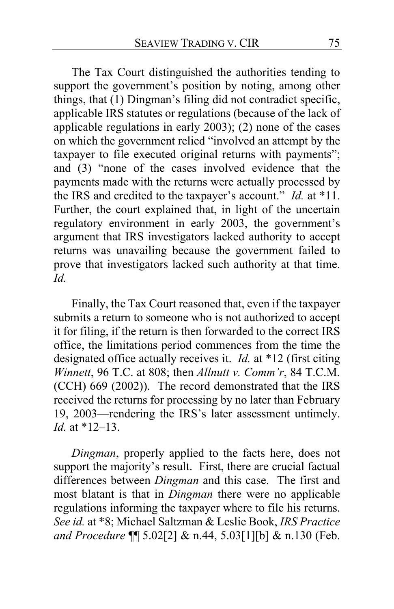The Tax Court distinguished the authorities tending to support the government's position by noting, among other things, that (1) Dingman's filing did not contradict specific, applicable IRS statutes or regulations (because of the lack of applicable regulations in early 2003); (2) none of the cases on which the government relied "involved an attempt by the taxpayer to file executed original returns with payments"; and (3) "none of the cases involved evidence that the payments made with the returns were actually processed by the IRS and credited to the taxpayer's account." *Id.* at \*11. Further, the court explained that, in light of the uncertain regulatory environment in early 2003, the government's argument that IRS investigators lacked authority to accept returns was unavailing because the government failed to prove that investigators lacked such authority at that time. *Id.*

Finally, the Tax Court reasoned that, even if the taxpayer submits a return to someone who is not authorized to accept it for filing, if the return is then forwarded to the correct IRS office, the limitations period commences from the time the designated office actually receives it. *Id.* at \*12 (first citing *Winnett*, 96 T.C. at 808; then *Allnutt v. Comm'r*, 84 T.C.M. (CCH) 669 (2002)). The record demonstrated that the IRS received the returns for processing by no later than February 19, 2003—rendering the IRS's later assessment untimely. *Id.* at \*12–13.

*Dingman*, properly applied to the facts here, does not support the majority's result. First, there are crucial factual differences between *Dingman* and this case. The first and most blatant is that in *Dingman* there were no applicable regulations informing the taxpayer where to file his returns. *See id.* at \*8; Michael Saltzman & Leslie Book, *IRS Practice and Procedure* ¶¶ 5.02[2] & n.44, 5.03[1][b] & n.130 (Feb.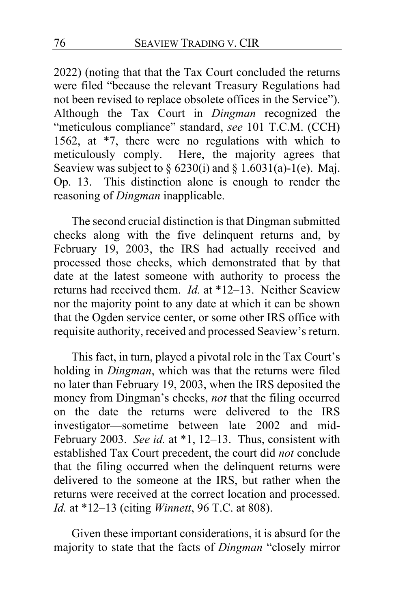2022) (noting that that the Tax Court concluded the returns were filed "because the relevant Treasury Regulations had not been revised to replace obsolete offices in the Service"). Although the Tax Court in *Dingman* recognized the "meticulous compliance" standard, *see* 101 T.C.M. (CCH) 1562, at \*7, there were no regulations with which to meticulously comply. Here, the majority agrees that Seaview was subject to  $\S 6230(i)$  and  $\S 1.6031(a)$ -1(e). Maj. Op. 13. This distinction alone is enough to render the reasoning of *Dingman* inapplicable.

The second crucial distinction is that Dingman submitted checks along with the five delinquent returns and, by February 19, 2003, the IRS had actually received and processed those checks, which demonstrated that by that date at the latest someone with authority to process the returns had received them. *Id.* at \*12–13. Neither Seaview nor the majority point to any date at which it can be shown that the Ogden service center, or some other IRS office with requisite authority, received and processed Seaview's return.

This fact, in turn, played a pivotal role in the Tax Court's holding in *Dingman*, which was that the returns were filed no later than February 19, 2003, when the IRS deposited the money from Dingman's checks, *not* that the filing occurred on the date the returns were delivered to the IRS investigator—sometime between late 2002 and mid-February 2003. *See id.* at \*1, 12–13. Thus, consistent with established Tax Court precedent, the court did *not* conclude that the filing occurred when the delinquent returns were delivered to the someone at the IRS, but rather when the returns were received at the correct location and processed. *Id.* at \*12–13 (citing *Winnett*, 96 T.C. at 808).

Given these important considerations, it is absurd for the majority to state that the facts of *Dingman* "closely mirror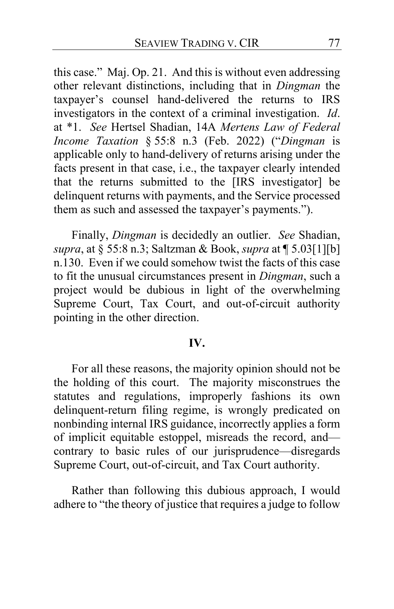this case." Maj. Op. 21. And this is without even addressing other relevant distinctions, including that in *Dingman* the taxpayer's counsel hand-delivered the returns to IRS investigators in the context of a criminal investigation. *Id*. at \*1. *See* Hertsel Shadian, 14A *Mertens Law of Federal Income Taxation* § 55:8 n.3 (Feb. 2022) ("*Dingman* is applicable only to hand-delivery of returns arising under the facts present in that case, i.e., the taxpayer clearly intended that the returns submitted to the [IRS investigator] be delinquent returns with payments, and the Service processed them as such and assessed the taxpayer's payments.").

Finally, *Dingman* is decidedly an outlier. *See* Shadian, *supra*, at § 55:8 n.3; Saltzman & Book, *supra* at ¶ 5.03[1][b] n.130. Even if we could somehow twist the facts of this case to fit the unusual circumstances present in *Dingman*, such a project would be dubious in light of the overwhelming Supreme Court, Tax Court, and out-of-circuit authority pointing in the other direction.

## **IV.**

For all these reasons, the majority opinion should not be the holding of this court. The majority misconstrues the statutes and regulations, improperly fashions its own delinquent-return filing regime, is wrongly predicated on nonbinding internal IRS guidance, incorrectly applies a form of implicit equitable estoppel, misreads the record, and contrary to basic rules of our jurisprudence—disregards Supreme Court, out-of-circuit, and Tax Court authority.

Rather than following this dubious approach, I would adhere to "the theory of justice that requires a judge to follow